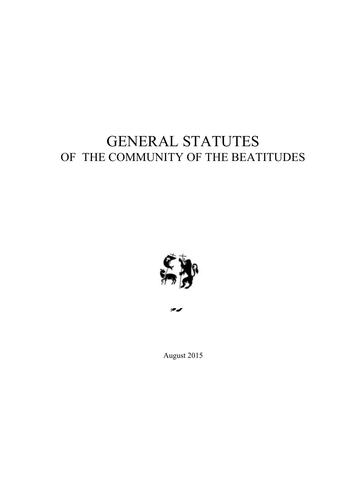# GENERAL STATUTES OF THE COMMUNITY OF THE BEATITUDES



August 2015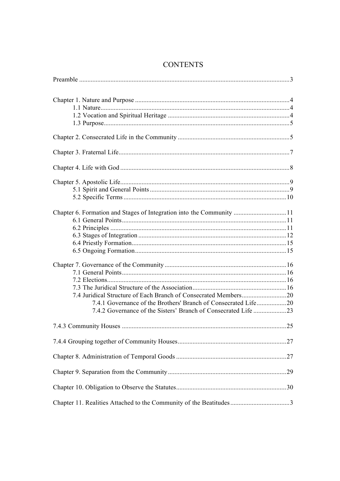## **CONTENTS**

| Chapter 6. Formation and Stages of Integration into the Community 11 |  |
|----------------------------------------------------------------------|--|
| 7.4.1 Governance of the Brothers' Branch of Consecrated Life20       |  |
|                                                                      |  |
|                                                                      |  |
|                                                                      |  |
|                                                                      |  |
|                                                                      |  |
| Chapter 11. Realities Attached to the Community of the Beatitudes3   |  |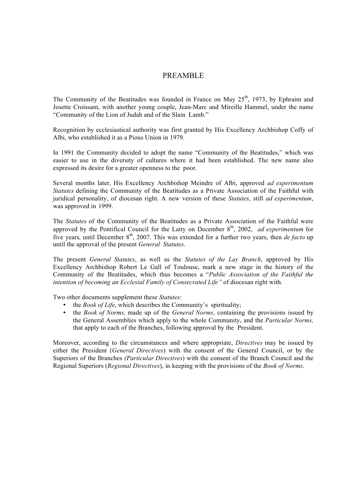## PREAMBLE

The Community of the Beatitudes was founded in France on May  $25<sup>th</sup>$ , 1973, by Ephraim and Josette Croissant, with another young couple, Jean-Marc and Mireille Hammel, under the name "Community of the Lion of Judah and of the Slain Lamb."

Recognition by ecclesiastical authority was first granted by His Excellency Archbishop Coffy of Albi, who established it as a Pious Union in 1979.

In 1991 the Community decided to adopt the name "Community of the Beatitudes," which was easier to use in the diversity of cultures where it had been established. The new name also expressed its desire for a greater openness to the poor.

Several months later, His Excellency Archbishop Meindre of Albi, approved *ad experimentum Statutes* defining the Community of the Beatitudes as a Private Association of the Faithful with juridical personality, of diocesan right. A new version of these *Statutes*, still *ad experimentum*, was approved in 1999.

The *Statutes* of the Community of the Beatitudes as a Private Association of the Faithful were approved by the Pontifical Council for the Laity on December 8<sup>th</sup>, 2002. *ad experimentum* for five years, until December 8<sup>th</sup>, 2007. This was extended for a further two years, then *de facto* up until the approval of the present *General Statutes*.

The present *General Statutes*, as well as the *Statutes of the Lay Branch*, approved by His Excellency Archbishop Robert Le Gall of Toulouse, mark a new stage in the history of the Community of the Beatitudes, which thus becomes a "*Public Association of the Faithful the intention of becoming an Ecclesial Family of Consecrated Life"* of diocesan right with.

Two other documents supplement these *Statutes*:

- the *Book of Life*, which describes the Community's spirituality;
- the *Book of Norms,* made up of the *General Norms*, containing the provisions issued by the General Assemblies which apply to the whole Community, and the *Particular Norms,*  that apply to each of the Branches, following approval by the President.

Moreover, according to the circumstances and where appropriate, *Directives* may be issued by either the President (*General Directives*) with the consent of the General Council, or by the Superiors of the Branches *(Particular Directives*) with the consent of the Branch Council and the Regional Superiors (*Regional Directives*), in keeping with the provisions of the *Book of Norms*.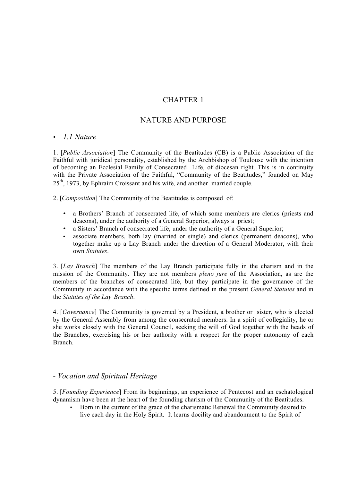## CHAPTER 1

## NATURE AND PURPOSE

#### • *1.1 Nature*

1. [*Public Association*] The Community of the Beatitudes (CB) is a Public Association of the Faithful with juridical personality, established by the Archbishop of Toulouse with the intention of becoming an Ecclesial Family of Consecrated Life, of diocesan right. This is in continuity with the Private Association of the Faithful, "Community of the Beatitudes," founded on May 25<sup>th</sup>, 1973, by Ephraim Croissant and his wife, and another married couple.

2. [*Composition*] The Community of the Beatitudes is composed of:

- a Brothers' Branch of consecrated life, of which some members are clerics (priests and deacons), under the authority of a General Superior, always a priest;
- a Sisters' Branch of consecrated life, under the authority of a General Superior;
- associate members, both lay (married or single) and clerics (permanent deacons), who together make up a Lay Branch under the direction of a General Moderator, with their own *Statutes*.

3. [*Lay Branch*] The members of the Lay Branch participate fully in the charism and in the mission of the Community. They are not members *pleno jure* of the Association, as are the members of the branches of consecrated life, but they participate in the governance of the Community in accordance with the specific terms defined in the present *General Statutes* and in the *Statutes of the Lay Branch*.

4. [*Governance*] The Community is governed by a President, a brother or sister, who is elected by the General Assembly from among the consecrated members. In a spirit of collegiality, he or she works closely with the General Council, seeking the will of God together with the heads of the Branches, exercising his or her authority with a respect for the proper autonomy of each Branch.

## *- Vocation and Spiritual Heritage*

5. [*Founding Experience*] From its beginnings, an experience of Pentecost and an eschatological dynamism have been at the heart of the founding charism of the Community of the Beatitudes.

• Born in the current of the grace of the charismatic Renewal the Community desired to live each day in the Holy Spirit. It learns docility and abandonment to the Spirit of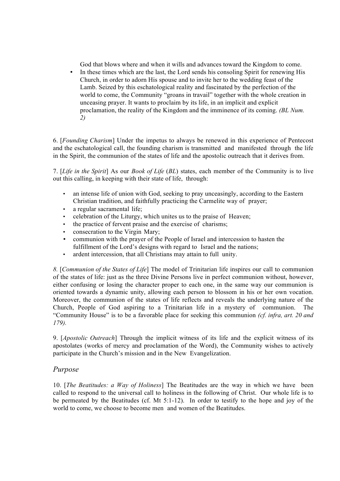God that blows where and when it wills and advances toward the Kingdom to come.

• In these times which are the last, the Lord sends his consoling Spirit for renewing His Church, in order to adorn His spouse and to invite her to the wedding feast of the Lamb. Seized by this eschatological reality and fascinated by the perfection of the world to come, the Community "groans in travail" together with the whole creation in unceasing prayer. It wants to proclaim by its life, in an implicit and explicit proclamation, the reality of the Kingdom and the imminence of its coming. *(BL Num. 2)*

6. [*Founding Charism*] Under the impetus to always be renewed in this experience of Pentecost and the eschatological call, the founding charism is transmitted and manifested through the life in the Spirit, the communion of the states of life and the apostolic outreach that it derives from.

7. [*Life in the Spirit*] As our *Book of Life* (*BL*) states, each member of the Community is to live out this calling, in keeping with their state of life, through:

- an intense life of union with God, seeking to pray unceasingly, according to the Eastern Christian tradition, and faithfully practicing the Carmelite way of prayer;
- a regular sacramental life;
- celebration of the Liturgy, which unites us to the praise of Heaven;
- the practice of fervent praise and the exercise of charisms;
- consecration to the Virgin Mary;
- communion with the prayer of the People of Israel and intercession to hasten the fulfillment of the Lord's designs with regard to Israel and the nations;
- ardent intercession, that all Christians may attain to full unity.

*8.* [*Communion of the States of Life*] The model of Trinitarian life inspires our call to communion of the states of life: just as the three Divine Persons live in perfect communion without, however, either confusing or losing the character proper to each one, in the same way our communion is oriented towards a dynamic unity, allowing each person to blossom in his or her own vocation. Moreover, the communion of the states of life reflects and reveals the underlying nature of the Church, People of God aspiring to a Trinitarian life in a mystery of communion. The "Community House" is to be a favorable place for seeking this communion *(cf. infra, art. 20 and 179).*

9. [*Apostolic Outreach*] Through the implicit witness of its life and the explicit witness of its apostolates (works of mercy and proclamation of the Word), the Community wishes to actively participate in the Church's mission and in the New Evangelization.

#### *Purpose*

10. [*The Beatitudes: a Way of Holiness*] The Beatitudes are the way in which we have been called to respond to the universal call to holiness in the following of Christ. Our whole life is to be permeated by the Beatitudes (cf. Mt 5:1-12). In order to testify to the hope and joy of the world to come, we choose to become men and women of the Beatitudes.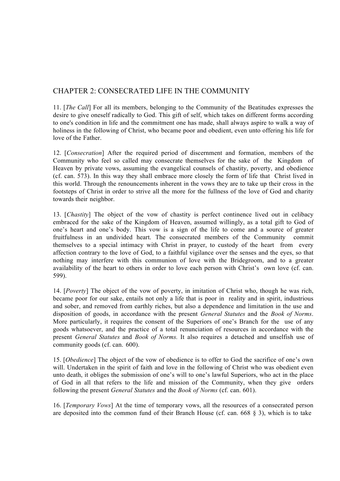## CHAPTER 2: CONSECRATED LIFE IN THE COMMUNITY

11. [*The Call*] For all its members, belonging to the Community of the Beatitudes expresses the desire to give oneself radically to God. This gift of self, which takes on different forms according to one's condition in life and the commitment one has made, shall always aspire to walk a way of holiness in the following of Christ, who became poor and obedient, even unto offering his life for love of the Father.

12. [*Consecration*] After the required period of discernment and formation, members of the Community who feel so called may consecrate themselves for the sake of the Kingdom of Heaven by private vows, assuming the evangelical counsels of chastity, poverty, and obedience (cf. can. 573). In this way they shall embrace more closely the form of life that Christ lived in this world. Through the renouncements inherent in the vows they are to take up their cross in the footsteps of Christ in order to strive all the more for the fullness of the love of God and charity towards their neighbor.

13. [*Chastity*] The object of the vow of chastity is perfect continence lived out in celibacy embraced for the sake of the Kingdom of Heaven, assumed willingly, as a total gift to God of one's heart and one's body. This vow is a sign of the life to come and a source of greater fruitfulness in an undivided heart. The consecrated members of the Community commit themselves to a special intimacy with Christ in prayer, to custody of the heart from every affection contrary to the love of God, to a faithful vigilance over the senses and the eyes, so that nothing may interfere with this communion of love with the Bridegroom, and to a greater availability of the heart to others in order to love each person with Christ's own love (cf. can. 599).

14. [*Poverty*] The object of the vow of poverty, in imitation of Christ who, though he was rich, became poor for our sake, entails not only a life that is poor in reality and in spirit, industrious and sober, and removed from earthly riches, but also a dependence and limitation in the use and disposition of goods, in accordance with the present *General Statutes* and the *Book of Norms*. More particularly, it requires the consent of the Superiors of one's Branch for the use of any goods whatsoever, and the practice of a total renunciation of resources in accordance with the present *General Statutes* and *Book of Norms.* It also requires a detached and unselfish use of community goods (cf. can. 600).

15. [*Obedience*] The object of the vow of obedience is to offer to God the sacrifice of one's own will. Undertaken in the spirit of faith and love in the following of Christ who was obedient even unto death, it obliges the submission of one's will to one's lawful Superiors, who act in the place of God in all that refers to the life and mission of the Community, when they give orders following the present *General Statutes* and the *Book of Norms* (cf. can. 601).

16. [*Temporary Vows*] At the time of temporary vows, all the resources of a consecrated person are deposited into the common fund of their Branch House (cf. can.  $668 \tS 3$ ), which is to take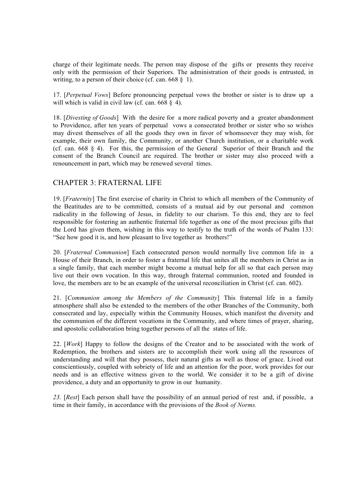charge of their legitimate needs. The person may dispose of the gifts or presents they receive only with the permission of their Superiors. The administration of their goods is entrusted, in writing, to a person of their choice (cf. can.  $668 \& 1$ ).

17. [*Perpetual Vows*] Before pronouncing perpetual vows the brother or sister is to draw up a will which is valid in civil law (cf. can.  $668 \S 4$ ).

18. [*Divesting of Goods*] With the desire for a more radical poverty and a greater abandonment to Providence, after ten years of perpetual vows a consecrated brother or sister who so wishes may divest themselves of all the goods they own in favor of whomsoever they may wish, for example, their own family, the Community, or another Church institution, or a charitable work (cf. can. 668 § 4). For this, the permission of the General Superior of their Branch and the consent of the Branch Council are required. The brother or sister may also proceed with a renouncement in part, which may be renewed several times.

## CHAPTER 3: FRATERNAL LIFE

19. [*Fraternity*] The first exercise of charity in Christ to which all members of the Community of the Beatitudes are to be committed, consists of a mutual aid by our personal and common radicality in the following of Jesus, in fidelity to our charism. To this end, they are to feel responsible for fostering an authentic fraternal life together as one of the most precious gifts that the Lord has given them, wishing in this way to testify to the truth of the words of Psalm 133: "See how good it is, and how pleasant to live together as brothers!"

20. [*Fraternal Communion*] Each consecrated person would normally live common life in a House of their Branch, in order to foster a fraternal life that unites all the members in Christ as in a single family, that each member might become a mutual help for all so that each person may live out their own vocation. In this way, through fraternal communion, rooted and founded in love, the members are to be an example of the universal reconciliation in Christ (cf. can. 602).

21. [*Communion among the Members of the Community*] This fraternal life in a family atmosphere shall also be extended to the members of the other Branches of the Community, both consecrated and lay, especially within the Community Houses, which manifest the diversity and the communion of the different vocations in the Community, and where times of prayer, sharing, and apostolic collaboration bring together persons of all the states of life.

22. [*Work*] Happy to follow the designs of the Creator and to be associated with the work of Redemption, the brothers and sisters are to accomplish their work using all the resources of understanding and will that they possess, their natural gifts as well as those of grace. Lived out conscientiously, coupled with sobriety of life and an attention for the poor, work provides for our needs and is an effective witness given to the world. We consider it to be a gift of divine providence, a duty and an opportunity to grow in our humanity.

*23.* [*Rest*] Each person shall have the possibility of an annual period of rest and, if possible, a time in their family, in accordance with the provisions of the *Book of Norms.*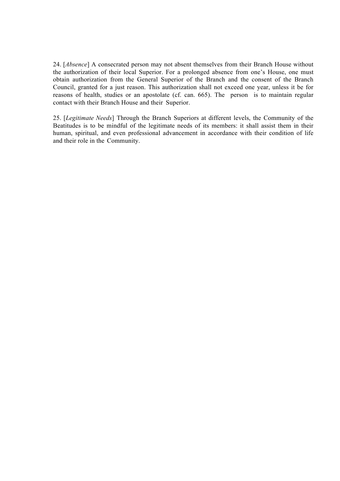24. [*Absence*] A consecrated person may not absent themselves from their Branch House without the authorization of their local Superior. For a prolonged absence from one's House, one must obtain authorization from the General Superior of the Branch and the consent of the Branch Council, granted for a just reason. This authorization shall not exceed one year, unless it be for reasons of health, studies or an apostolate (cf. can. 665). The person is to maintain regular contact with their Branch House and their Superior.

25. [*Legitimate Needs*] Through the Branch Superiors at different levels, the Community of the Beatitudes is to be mindful of the legitimate needs of its members: it shall assist them in their human, spiritual, and even professional advancement in accordance with their condition of life and their role in the Community.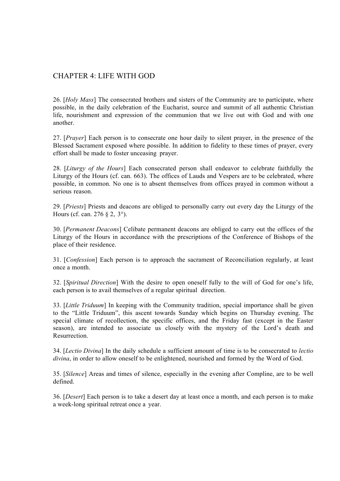## CHAPTER 4: LIFE WITH GOD

26. [*Holy Mass*] The consecrated brothers and sisters of the Community are to participate, where possible, in the daily celebration of the Eucharist, source and summit of all authentic Christian life, nourishment and expression of the communion that we live out with God and with one another.

27. [*Prayer*] Each person is to consecrate one hour daily to silent prayer, in the presence of the Blessed Sacrament exposed where possible. In addition to fidelity to these times of prayer, every effort shall be made to foster unceasing prayer.

28. [*Liturgy of the Hours*] Each consecrated person shall endeavor to celebrate faithfully the Liturgy of the Hours (cf. can. 663). The offices of Lauds and Vespers are to be celebrated, where possible, in common. No one is to absent themselves from offices prayed in common without a serious reason.

29. [*Priests*] Priests and deacons are obliged to personally carry out every day the Liturgy of the Hours (cf. can. 276 § 2, 3°).

30. [*Permanent Deacons*] Celibate permanent deacons are obliged to carry out the offices of the Liturgy of the Hours in accordance with the prescriptions of the Conference of Bishops of the place of their residence.

31. [*Confession*] Each person is to approach the sacrament of Reconciliation regularly, at least once a month.

32. [*Spiritual Direction*] With the desire to open oneself fully to the will of God for one's life, each person is to avail themselves of a regular spiritual direction.

33. [*Little Triduum*] In keeping with the Community tradition, special importance shall be given to the "Little Triduum", this ascent towards Sunday which begins on Thursday evening. The special climate of recollection, the specific offices, and the Friday fast (except in the Easter season), are intended to associate us closely with the mystery of the Lord's death and Resurrection.

34. [*Lectio Divina*] In the daily schedule a sufficient amount of time is to be consecrated to *lectio divina*, in order to allow oneself to be enlightened, nourished and formed by the Word of God.

35. [*Silence*] Areas and times of silence, especially in the evening after Compline, are to be well defined.

36. [*Desert*] Each person is to take a desert day at least once a month, and each person is to make a week-long spiritual retreat once a year.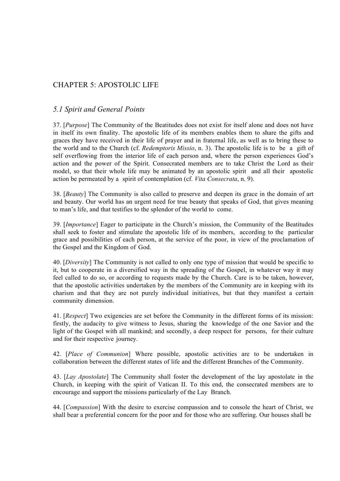## CHAPTER 5: APOSTOLIC LIFE

## *5.1 Spirit and General Points*

37. [*Purpose*] The Community of the Beatitudes does not exist for itself alone and does not have in itself its own finality. The apostolic life of its members enables them to share the gifts and graces they have received in their life of prayer and in fraternal life, as well as to bring these to the world and to the Church (cf. *Redemptoris Missio*, n. 3). The apostolic life is to be a gift of self overflowing from the interior life of each person and, where the person experiences God's action and the power of the Spirit. Consecrated members are to take Christ the Lord as their model, so that their whole life may be animated by an apostolic spirit and all their apostolic action be permeated by a spirit of contemplation (cf. *Vita Consecrata*, n. 9).

38. [*Beauty*] The Community is also called to preserve and deepen its grace in the domain of art and beauty. Our world has an urgent need for true beauty that speaks of God, that gives meaning to man's life, and that testifies to the splendor of the world to come.

39. [*Importance*] Eager to participate in the Church's mission, the Community of the Beatitudes shall seek to foster and stimulate the apostolic life of its members, according to the particular grace and possibilities of each person, at the service of the poor, in view of the proclamation of the Gospel and the Kingdom of God.

40. [*Diversity*] The Community is not called to only one type of mission that would be specific to it, but to cooperate in a diversified way in the spreading of the Gospel, in whatever way it may feel called to do so, or according to requests made by the Church. Care is to be taken, however, that the apostolic activities undertaken by the members of the Community are in keeping with its charism and that they are not purely individual initiatives, but that they manifest a certain community dimension.

41. [*Respect*] Two exigencies are set before the Community in the different forms of its mission: firstly, the audacity to give witness to Jesus, sharing the knowledge of the one Savior and the light of the Gospel with all mankind; and secondly, a deep respect for persons, for their culture and for their respective journey.

42. [*Place of Communion*] Where possible, apostolic activities are to be undertaken in collaboration between the different states of life and the different Branches of the Community.

43. [*Lay Apostolate*] The Community shall foster the development of the lay apostolate in the Church, in keeping with the spirit of Vatican II. To this end, the consecrated members are to encourage and support the missions particularly of the Lay Branch.

44. [*Compassion*] With the desire to exercise compassion and to console the heart of Christ, we shall bear a preferential concern for the poor and for those who are suffering. Our houses shall be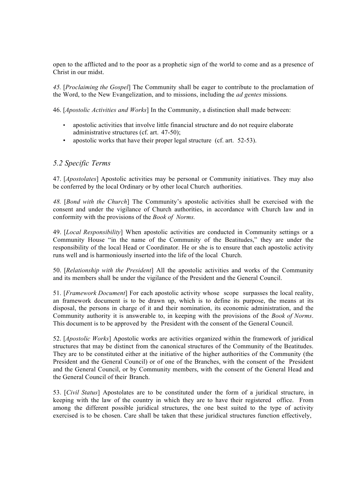open to the afflicted and to the poor as a prophetic sign of the world to come and as a presence of Christ in our midst.

*45.* [*Proclaiming the Gospel*] The Community shall be eager to contribute to the proclamation of the Word, to the New Evangelization, and to missions, including the *ad gentes* missions*.*

46. [*Apostolic Activities and Works*] In the Community, a distinction shall made between:

- apostolic activities that involve little financial structure and do not require elaborate administrative structures (cf. art. 47-50);
- apostolic works that have their proper legal structure (cf. art. 52-53).

## *5.2 Specific Terms*

47. [*Apostolates*] Apostolic activities may be personal or Community initiatives. They may also be conferred by the local Ordinary or by other local Church authorities.

*48.* [*Bond with the Church*] The Community's apostolic activities shall be exercised with the consent and under the vigilance of Church authorities, in accordance with Church law and in conformity with the provisions of the *Book of Norms.*

49. [*Local Responsibility*] When apostolic activities are conducted in Community settings or a Community House "in the name of the Community of the Beatitudes," they are under the responsibility of the local Head or Coordinator. He or she is to ensure that each apostolic activity runs well and is harmoniously inserted into the life of the local Church.

50. [*Relationship with the President*] All the apostolic activities and works of the Community and its members shall be under the vigilance of the President and the General Council.

51. [*Framework Document*] For each apostolic activity whose scope surpasses the local reality, an framework document is to be drawn up, which is to define its purpose, the means at its disposal, the persons in charge of it and their nomination, its economic administration, and the Community authority it is answerable to, in keeping with the provisions of the *Book of Norms*. This document is to be approved by the President with the consent of the General Council.

52. [*Apostolic Works*] Apostolic works are activities organized within the framework of juridical structures that may be distinct from the canonical structures of the Community of the Beatitudes. They are to be constituted either at the initiative of the higher authorities of the Community (the President and the General Council) or of one of the Branches, with the consent of the President and the General Council, or by Community members, with the consent of the General Head and the General Council of their Branch.

53. [*Civil Status*] Apostolates are to be constituted under the form of a juridical structure, in keeping with the law of the country in which they are to have their registered office. From among the different possible juridical structures, the one best suited to the type of activity exercised is to be chosen. Care shall be taken that these juridical structures function effectively,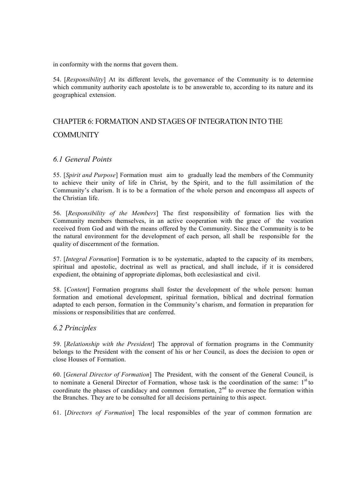in conformity with the norms that govern them.

54. [*Responsibility*] At its different levels, the governance of the Community is to determine which community authority each apostolate is to be answerable to, according to its nature and its geographical extension.

# CHAPTER 6: FORMATION AND STAGES OF INTEGRATION INTO THE COMMUNITY

## *6.1 General Points*

55. [*Spirit and Purpose*] Formation must aim to gradually lead the members of the Community to achieve their unity of life in Christ, by the Spirit, and to the full assimilation of the Community's charism. It is to be a formation of the whole person and encompass all aspects of the Christian life.

56. [*Responsibility of the Members*] The first responsibility of formation lies with the Community members themselves, in an active cooperation with the grace of the vocation received from God and with the means offered by the Community. Since the Community is to be the natural environment for the development of each person, all shall be responsible for the quality of discernment of the formation.

57. [*Integral Formation*] Formation is to be systematic, adapted to the capacity of its members, spiritual and apostolic, doctrinal as well as practical, and shall include, if it is considered expedient, the obtaining of appropriate diplomas, both ecclesiastical and civil.

58. [*Content*] Formation programs shall foster the development of the whole person: human formation and emotional development, spiritual formation, biblical and doctrinal formation adapted to each person, formation in the Community's charism, and formation in preparation for missions or responsibilities that are conferred.

## *6.2 Principles*

59. [*Relationship with the President*] The approval of formation programs in the Community belongs to the President with the consent of his or her Council, as does the decision to open or close Houses of Formation.

60. [*General Director of Formation*] The President, with the consent of the General Council, is to nominate a General Director of Formation, whose task is the coordination of the same:  $1<sup>st</sup>$  to coordinate the phases of candidacy and common formation,  $2<sup>nd</sup>$  to oversee the formation within the Branches. They are to be consulted for all decisions pertaining to this aspect.

61. [*Directors of Formation*] The local responsibles of the year of common formation are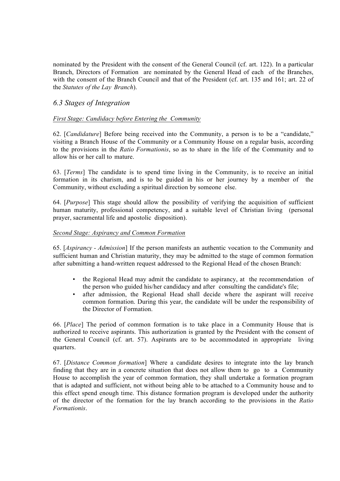nominated by the President with the consent of the General Council (cf. art. 122). In a particular Branch, Directors of Formation are nominated by the General Head of each of the Branches, with the consent of the Branch Council and that of the President (cf. art. 135 and 161; art. 22 of the *Statutes of the Lay Branch*).

## *6.3 Stages of Integration*

#### *First Stage: Candidacy before Entering the Community*

62. [*Candidature*] Before being received into the Community, a person is to be a "candidate," visiting a Branch House of the Community or a Community House on a regular basis, according to the provisions in the *Ratio Formationis*, so as to share in the life of the Community and to allow his or her call to mature.

63. [*Terms*] The candidate is to spend time living in the Community, is to receive an initial formation in its charism, and is to be guided in his or her journey by a member of the Community, without excluding a spiritual direction by someone else.

64. [*Purpose*] This stage should allow the possibility of verifying the acquisition of sufficient human maturity, professional competency, and a suitable level of Christian living (personal prayer, sacramental life and apostolic disposition).

#### *Second Stage: Aspirancy and Common Formation*

65. [*Aspirancy - Admission*] If the person manifests an authentic vocation to the Community and sufficient human and Christian maturity, they may be admitted to the stage of common formation after submitting a hand-written request addressed to the Regional Head of the chosen Branch:

- the Regional Head may admit the candidate to aspirancy, at the recommendation of the person who guided his/her candidacy and after consulting the candidate's file;
- after admission, the Regional Head shall decide where the aspirant will receive common formation. During this year, the candidate will be under the responsibility of the Director of Formation.

66. [*Place*] The period of common formation is to take place in a Community House that is authorized to receive aspirants. This authorization is granted by the President with the consent of the General Council (cf. art. 57). Aspirants are to be accommodated in appropriate living quarters.

67. [*Distance Common formation*] Where a candidate desires to integrate into the lay branch finding that they are in a concrete situation that does not allow them to go to a Community House to accomplish the year of common formation, they shall undertake a formation program that is adapted and sufficient, not without being able to be attached to a Community house and to this effect spend enough time. This distance formation program is developed under the authority of the director of the formation for the lay branch according to the provisions in the *Ratio Formationis*.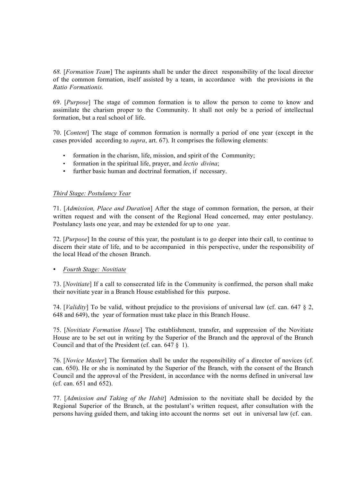*68.* [*Formation Team*] The aspirants shall be under the direct responsibility of the local director of the common formation, itself assisted by a team, in accordance with the provisions in the *Ratio Formationis.*

69. [*Purpose*] The stage of common formation is to allow the person to come to know and assimilate the charism proper to the Community. It shall not only be a period of intellectual formation, but a real school of life.

70. [*Content*] The stage of common formation is normally a period of one year (except in the cases provided according to *supra*, art. 67). It comprises the following elements:

- formation in the charism, life, mission, and spirit of the Community;
- formation in the spiritual life, prayer, and *lectio divina*;
- further basic human and doctrinal formation, if necessary.

#### *Third Stage: Postulancy Year*

71. [*Admission, Place and Duration*] After the stage of common formation, the person, at their written request and with the consent of the Regional Head concerned, may enter postulancy. Postulancy lasts one year, and may be extended for up to one year.

72. [*Purpose*] In the course of this year, the postulant is to go deeper into their call, to continue to discern their state of life, and to be accompanied in this perspective, under the responsibility of the local Head of the chosen Branch.

#### • *Fourth Stage: Novitiate*

73. [*Novitiate*] If a call to consecrated life in the Community is confirmed, the person shall make their novitiate year in a Branch House established for this purpose.

74. [*Validity*] To be valid, without prejudice to the provisions of universal law (cf. can. 647 § 2, 648 and 649), the year of formation must take place in this Branch House.

75. [*Novitiate Formation House*] The establishment, transfer, and suppression of the Novitiate House are to be set out in writing by the Superior of the Branch and the approval of the Branch Council and that of the President (cf. can. 647 § 1).

76. [*Novice Master*] The formation shall be under the responsibility of a director of novices (cf. can. 650). He or she is nominated by the Superior of the Branch, with the consent of the Branch Council and the approval of the President, in accordance with the norms defined in universal law (cf. can. 651 and 652).

77. [*Admission and Taking of the Habit*] Admission to the novitiate shall be decided by the Regional Superior of the Branch, at the postulant's written request, after consultation with the persons having guided them, and taking into account the norms set out in universal law (cf. can.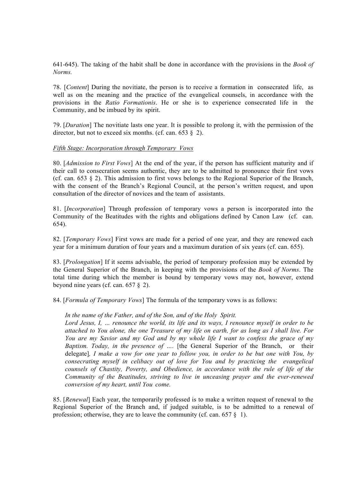641-645). The taking of the habit shall be done in accordance with the provisions in the *Book of Norms.*

78. [*Content*] During the novitiate, the person is to receive a formation in consecrated life, as well as on the meaning and the practice of the evangelical counsels, in accordance with the provisions in the *Ratio Formationis*. He or she is to experience consecrated life in the Community, and be imbued by its spirit.

79. [*Duration*] The novitiate lasts one year. It is possible to prolong it, with the permission of the director, but not to exceed six months. (cf. can.  $653 \& 2$ ).

#### *Fifth Stage: Incorporation through Temporary Vows*

80. [*Admission to First Vows*] At the end of the year, if the person has sufficient maturity and if their call to consecration seems authentic, they are to be admitted to pronounce their first vows (cf. can. 653 § 2). This admission to first vows belongs to the Regional Superior of the Branch, with the consent of the Branch's Regional Council, at the person's written request, and upon consultation of the director of novices and the team of assistants.

81. [*Incorporation*] Through profession of temporary vows a person is incorporated into the Community of the Beatitudes with the rights and obligations defined by Canon Law (cf. can. 654).

82. [*Temporary Vows*] First vows are made for a period of one year, and they are renewed each year for a minimum duration of four years and a maximum duration of six years (cf. can. 655).

83. [*Prolongation*] If it seems advisable, the period of temporary profession may be extended by the General Superior of the Branch, in keeping with the provisions of the *Book of Norms*. The total time during which the member is bound by temporary vows may not, however, extend beyond nine years (cf. can. 657 § 2).

84. [*Formula of Temporary Vows*] The formula of the temporary vows is as follows:

#### *In the name of the Father, and of the Son, and of the Holy Spirit.*

*Lord Jesus, I, … renounce the world, its life and its ways, I renounce myself in order to be attached to You alone, the one Treasure of my life on earth, for as long as I shall live. For You are my Savior and my God and by my whole life I want to confess the grace of my Baptism. Today, in the presence of ….* [the General Superior of the Branch, or their delegate]*, I make a vow for one year to follow you, in order to be but one with You, by consecrating myself in celibacy out of love for You and by practicing the evangelical counsels of Chastity, Poverty, and Obedience, in accordance with the rule of life of the Community of the Beatitudes, striving to live in unceasing prayer and the ever-renewed conversion of my heart, until You come.*

85. [*Renewal*] Each year, the temporarily professed is to make a written request of renewal to the Regional Superior of the Branch and, if judged suitable, is to be admitted to a renewal of profession; otherwise, they are to leave the community (cf. can.  $657 \tbinom{8}{1}$ .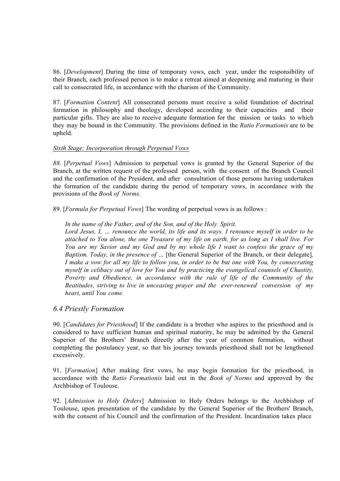86. [*Development*] During the time of temporary vows, each year, under the responsibility of their Branch, each professed person is to make a retreat aimed at deepening and maturing in their call to consecrated life, in accordance with the charism of the Community.

87. [*Formation Content*] All consecrated persons must receive a solid foundation of doctrinal formation in philosophy and theology, developed according to their capacities and their particular gifts. They are also to receive adequate formation for the mission or tasks to which they may be bound in the Community. The provisions defined in the *Ratio Formationis* are to be upheld.

#### *Sixth Stage: Incorporation through Perpetual Vows*

*88.* [*Perpetual Vows*] Admission to perpetual vows is granted by the General Superior of the Branch, at the written request of the professed person, with the consent of the Branch Council and the confirmation of the President, and after consultation of those persons having undertaken the formation of the candidate during the period of temporary vows, in accordance with the provisions of the *Book of Norms.*

89. [*Formula for Perpetual Vows*] The wording of perpetual vows is as follows :

#### *In the name of the Father, and of the Son, and of the Holy Spirit.*

*Lord Jesus, I, … renounce the world, its life and its ways. I renounce myself in order to be attached to You alone, the one Treasure of my life on earth, for as long as I shall live. For You are my Savior and my God and by my whole life I want to confess the grace of my Baptism. Today, in the presence of ...* [the General Superior of the Branch, or their delegate], *I make a vow for all my life to follow you, in order to be but one with You, by consecrating myself in celibacy out of love for You and by practicing the evangelical counsels of Chastity, Poverty and Obedience, in accordance with the rule of life of the Community of the Beatitudes, striving to live in unceasing prayer and the ever-renewed conversion of my heart, until You come.*

#### *6.4 Priestly Formation*

90. [*Candidates for Priesthood*] If the candidate is a brother who aspires to the priesthood and is considered to have sufficient human and spiritual maturity, he may be admitted by the General Superior of the Brothers' Branch directly after the year of common formation, without completing the postulancy year, so that his journey towards priesthood shall not be lengthened excessively.

91. [*Formation*] After making first vows, he may begin formation for the priesthood, in accordance with the *Ratio Formationis* laid out in the *Book of Norms* and approved by the Archbishop of Toulouse.

92. [*Admission to Holy Orders*] Admission to Holy Orders belongs to the Archbishop of Toulouse, upon presentation of the candidate by the General Superior of the Brothers' Branch, with the consent of his Council and the confirmation of the President. Incardination takes place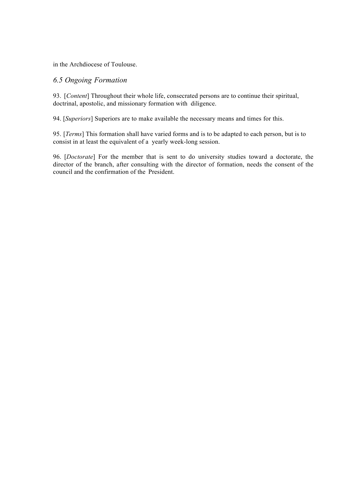in the Archdiocese of Toulouse.

## *6.5 Ongoing Formation*

93. [*Content*] Throughout their whole life, consecrated persons are to continue their spiritual, doctrinal, apostolic, and missionary formation with diligence.

94. [*Superiors*] Superiors are to make available the necessary means and times for this.

95. [*Terms*] This formation shall have varied forms and is to be adapted to each person, but is to consist in at least the equivalent of a yearly week-long session.

96. [*Doctorate*] For the member that is sent to do university studies toward a doctorate, the director of the branch, after consulting with the director of formation, needs the consent of the council and the confirmation of the President.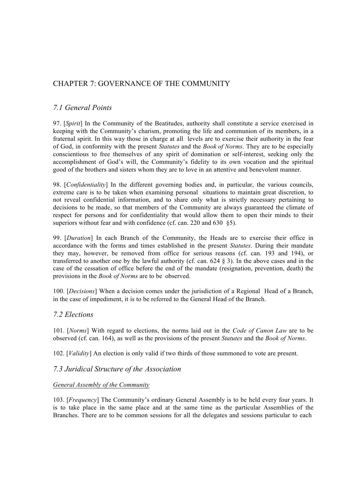## CHAPTER 7: GOVERNANCE OF THE COMMUNITY

## *7.1 General Points*

97. [*Spirit*] In the Community of the Beatitudes, authority shall constitute a service exercised in keeping with the Community's charism, promoting the life and communion of its members, in a fraternal spirit. In this way those in charge at all levels are to exercise their authority in the fear of God, in conformity with the present *Statutes* and the *Book of Norms*. They are to be especially conscientious to free themselves of any spirit of domination or self-interest, seeking only the accomplishment of God's will, the Community's fidelity to its own vocation and the spiritual good of the brothers and sisters whom they are to love in an attentive and benevolent manner.

98. [*Confidentiality*] In the different governing bodies and, in particular, the various councils, extreme care is to be taken when examining personal situations to maintain great discretion, to not reveal confidential information, and to share only what is strictly necessary pertaining to decisions to be made, so that members of the Community are always guaranteed the climate of respect for persons and for confidentiality that would allow them to open their minds to their superiors without fear and with confidence (cf. can. 220 and 630 §5).

99. [*Duration*] In each Branch of the Community, the Heads are to exercise their office in accordance with the forms and times established in the present *Statutes*. During their mandate they may, however, be removed from office for serious reasons (cf. can. 193 and 194), or transferred to another one by the lawful authority (cf. can. 624 § 3). In the above cases and in the case of the cessation of office before the end of the mandate (resignation, prevention, death) the provisions in the *Book of Norms* are to be observed.

100. [*Decisions*] When a decision comes under the jurisdiction of a Regional Head of a Branch, in the case of impediment, it is to be referred to the General Head of the Branch.

## *7.2 Elections*

101. [*Norms*] With regard to elections, the norms laid out in the *Code of Canon Law* are to be observed (cf. can. 164), as well as the provisions of the present *Statutes* and the *Book of Norms*.

102. [*Validity*] An election is only valid if two thirds of those summoned to vote are present.

## *7.3 Juridical Structure of the Association*

#### *General Assembly of the Community*

103. [*Frequency*] The Community's ordinary General Assembly is to be held every four years. It is to take place in the same place and at the same time as the particular Assemblies of the Branches. There are to be common sessions for all the delegates and sessions particular to each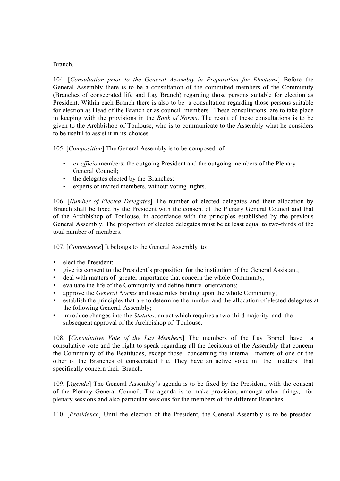#### Branch.

104. [*Consultation prior to the General Assembly in Preparation for Elections*] Before the General Assembly there is to be a consultation of the committed members of the Community (Branches of consecrated life and Lay Branch) regarding those persons suitable for election as President. Within each Branch there is also to be a consultation regarding those persons suitable for election as Head of the Branch or as council members. These consultations are to take place in keeping with the provisions in the *Book of Norms*. The result of these consultations is to be given to the Archbishop of Toulouse, who is to communicate to the Assembly what he considers to be useful to assist it in its choices.

105. [*Composition*] The General Assembly is to be composed of:

- *ex officio* members: the outgoing President and the outgoing members of the Plenary General Council;
- the delegates elected by the Branches;
- experts or invited members, without voting rights.

106. [*Number of Elected Delegates*] The number of elected delegates and their allocation by Branch shall be fixed by the President with the consent of the Plenary General Council and that of the Archbishop of Toulouse, in accordance with the principles established by the previous General Assembly. The proportion of elected delegates must be at least equal to two-thirds of the total number of members.

107. [*Competence*] It belongs to the General Assembly to:

- elect the President;
- give its consent to the President's proposition for the institution of the General Assistant;
- deal with matters of greater importance that concern the whole Community;
- evaluate the life of the Community and define future orientations:
- approve the *General Norms* and issue rules binding upon the whole Community;
- establish the principles that are to determine the number and the allocation of elected delegates at the following General Assembly;
- introduce changes into the *Statutes*, an act which requires a two-third majority and the subsequent approval of the Archbishop of Toulouse.

108. [*Consultative Vote of the Lay Members*] The members of the Lay Branch have a consultative vote and the right to speak regarding all the decisions of the Assembly that concern the Community of the Beatitudes, except those concerning the internal matters of one or the other of the Branches of consecrated life. They have an active voice in the matters that specifically concern their Branch.

109. [*Agenda*] The General Assembly's agenda is to be fixed by the President, with the consent of the Plenary General Council. The agenda is to make provision, amongst other things, for plenary sessions and also particular sessions for the members of the different Branches.

110. [*Presidence*] Until the election of the President, the General Assembly is to be presided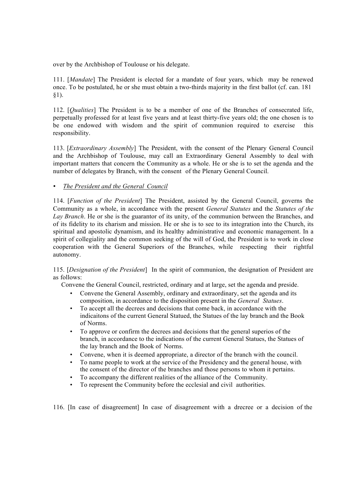over by the Archbishop of Toulouse or his delegate.

111. [*Mandate*] The President is elected for a mandate of four years, which may be renewed once. To be postulated, he or she must obtain a two-thirds majority in the first ballot (cf. can. 181 §1).

112. [*Qualities*] The President is to be a member of one of the Branches of consecrated life, perpetually professed for at least five years and at least thirty-five years old; the one chosen is to be one endowed with wisdom and the spirit of communion required to exercise this responsibility.

113. [*Extraordinary Assembly*] The President, with the consent of the Plenary General Council and the Archbishop of Toulouse, may call an Extraordinary General Assembly to deal with important matters that concern the Community as a whole. He or she is to set the agenda and the number of delegates by Branch, with the consent of the Plenary General Council.

• *The President and the General Council*

114. [*Function of the President*] The President, assisted by the General Council, governs the Community as a whole, in accordance with the present *General Statutes* and the *Statutes of the Lay Branch*. He or she is the guarantor of its unity, of the communion between the Branches, and of its fidelity to its charism and mission. He or she is to see to its integration into the Church, its spiritual and apostolic dynamism, and its healthy administrative and economic management. In a spirit of collegiality and the common seeking of the will of God, the President is to work in close cooperation with the General Superiors of the Branches, while respecting their rightful autonomy.

115. [*Designation of the President*] In the spirit of communion, the designation of President are as follows:

Convene the General Council, restricted, ordinary and at large, set the agenda and preside.

- Convene the General Assembly, ordinary and extraordinary, set the agenda and its composition, in accordance to the disposition present in the *General Statues*.
- To accept all the decrees and decisions that come back, in accordance with the indicaitons of the current General Statued, the Statues of the lay branch and the Book of Norms.
- To approve or confirm the decrees and decisions that the general superios of the branch, in accordance to the indications of the current General Statues, the Statues of the lay branch and the Book of Norms.
- Convene, when it is deemed appropriate, a director of the branch with the council.
- To name people to work at the service of the Presidency and the general house, with the consent of the director of the branches and those persons to whom it pertains.
- To accompany the different realities of the alliance of the Community.
- To represent the Community before the ecclesial and civil authorities.

116. [In case of disagreement] In case of disagreement with a drecree or a decision of the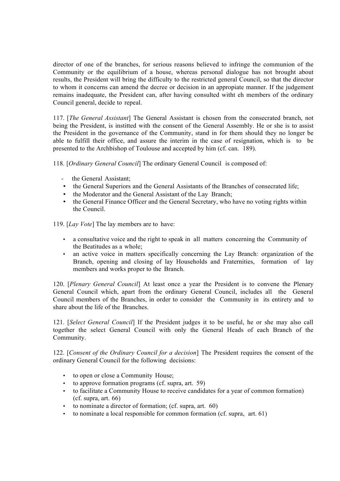director of one of the branches, for serious reasons believed to infringe the communion of the Community or the equilibrium of a house, whereas personal dialogue has not brought about results, the President will bring the difficulty to the restricted general Council, so that the director to whom it concerns can amend the decree or decision in an appropiate manner. If the judgement remains inadequate, the President can, after having consulted witht eh members of the ordinary Council general, decide to repeal.

117. [*The General Assistant*] The General Assistant is chosen from the consecrated branch, not being the President, is institted with the consent of the General Assembly. He or she is to assist the President in the governance of the Community, stand in for them should they no longer be able to fulfill their office, and assure the interim in the case of resignation, which is to be presented to the Archbishop of Toulouse and accepted by him (cf. can. 189).

118. [*Ordinary General Council*] The ordinary General Council is composed of:

- the General Assistant;
- the General Superiors and the General Assistants of the Branches of consecrated life;
- the Moderator and the General Assistant of the Lay Branch;
- the General Finance Officer and the General Secretary, who have no voting rights within the Council.

119. [*Lay Vote*] The lay members are to have:

- a consultative voice and the right to speak in all matters concerning the Community of the Beatitudes as a whole;
- an active voice in matters specifically concerning the Lay Branch: organization of the Branch, opening and closing of lay Households and Fraternities, formation of lay members and works proper to the Branch.

120. [*Plenary General Council*] At least once a year the President is to convene the Plenary General Council which, apart from the ordinary General Council, includes all the General Council members of the Branches, in order to consider the Community in its entirety and to share about the life of the Branches.

121. [*Select General Council*] If the President judges it to be useful, he or she may also call together the select General Council with only the General Heads of each Branch of the Community.

122. [*Consent of the Ordinary Council for a decision*] The President requires the consent of the ordinary General Council for the following decisions:

- to open or close a Community House;
- to approve formation programs (cf. supra, art. 59)
- to facilitate a Community House to receive candidates for a year of common formation) (cf. supra, art. 66)
- to nominate a director of formation; (cf. supra, art. 60)
- to nominate a local responsible for common formation (cf. supra, art. 61)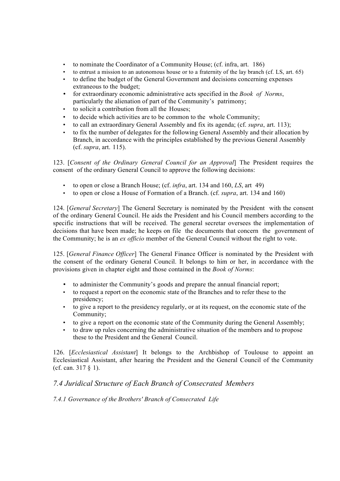- to nominate the Coordinator of a Community House; (cf. infra, art. 186)
- to entrust a mission to an autonomous house or to a fraternity of the lay branch (cf. LS, art. 65)
- to define the budget of the General Government and decisions concerning expenses extraneous to the budget;
- for extraordinary economic administrative acts specified in the *Book of Norms*, particularly the alienation of part of the Community's patrimony;
- to solicit a contribution from all the Houses;
- to decide which activities are to be common to the whole Community;
- to call an extraordinary General Assembly and fix its agenda; (cf. *supra*, art. 113);
- to fix the number of delegates for the following General Assembly and their allocation by Branch, in accordance with the principles established by the previous General Assembly (cf. *supra*, art. 115).

123. [*Consent of the Ordinary General Council for an Approval*] The President requires the consent of the ordinary General Council to approve the following decisions:

- to open or close a Branch House; (cf. *infra*, art. 134 and 160, *LS*, art 49)
- to open or close a House of Formation of a Branch. (cf. *supra*, art. 134 and 160)

124. [*General Secretary*] The General Secretary is nominated by the President with the consent of the ordinary General Council. He aids the President and his Council members according to the specific instructions that will be received. The general secretar oversees the implementation of decisions that have been made; he keeps on file the documents that concern the government of the Community; he is an *ex officio* member of the General Council without the right to vote.

125. [*General Finance Officer*] The General Finance Officer is nominated by the President with the consent of the ordinary General Council. It belongs to him or her, in accordance with the provisions given in chapter eight and those contained in the *Book of Norms*:

- to administer the Community's goods and prepare the annual financial report;
- to request a report on the economic state of the Branches and to refer these to the presidency;
- to give a report to the presidency regularly, or at its request, on the economic state of the Community;
- to give a report on the economic state of the Community during the General Assembly;
- to draw up rules concerning the administrative situation of the members and to propose these to the President and the General Council.

126. [*Ecclesiastical Assistant*] It belongs to the Archbishop of Toulouse to appoint an Ecclesiastical Assistant, after hearing the President and the General Council of the Community (cf. can. 317 § 1).

## *7.4 Juridical Structure of Each Branch of Consecrated Members*

## *7.4.1 Governance of the Brothers' Branch of Consecrated Life*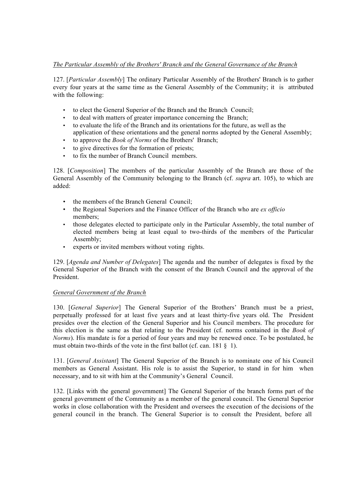## *The Particular Assembly of the Brothers' Branch and the General Governance of the Branch*

127. [*Particular Assembly*] The ordinary Particular Assembly of the Brothers' Branch is to gather every four years at the same time as the General Assembly of the Community; it is attributed with the following:

- to elect the General Superior of the Branch and the Branch Council;
- to deal with matters of greater importance concerning the Branch;
- to evaluate the life of the Branch and its orientations for the future, as well as the application of these orientations and the general norms adopted by the General Assembly;
- to approve the *Book of Norms* of the Brothers' Branch;
- to give directives for the formation of priests;
- to fix the number of Branch Council members.

128. [*Composition*] The members of the particular Assembly of the Branch are those of the General Assembly of the Community belonging to the Branch (cf. *supra* art. 105), to which are added:

- the members of the Branch General Council;
- the Regional Superiors and the Finance Officer of the Branch who are *ex officio* members;
- those delegates elected to participate only in the Particular Assembly, the total number of elected members being at least equal to two-thirds of the members of the Particular Assembly;
- experts or invited members without voting rights.

129. [*Agenda and Number of Delegates*] The agenda and the number of delegates is fixed by the General Superior of the Branch with the consent of the Branch Council and the approval of the President.

#### *General Government of the Branch*

130. [*General Superior*] The General Superior of the Brothers' Branch must be a priest, perpetually professed for at least five years and at least thirty-five years old. The President presides over the election of the General Superior and his Council members. The procedure for this election is the same as that relating to the President (cf. norms contained in the *Book of Norms*). His mandate is for a period of four years and may be renewed once. To be postulated, he must obtain two-thirds of the vote in the first ballot (cf. can. 181 § 1).

131. [*General Assistant*] The General Superior of the Branch is to nominate one of his Council members as General Assistant. His role is to assist the Superior, to stand in for him when necessary, and to sit with him at the Community's General Council.

132. [Links with the general government] The General Superior of the branch forms part of the general government of the Community as a member of the general council. The General Superior works in close collaboration with the President and oversees the execution of the decisions of the general council in the branch. The General Superior is to consult the President, before all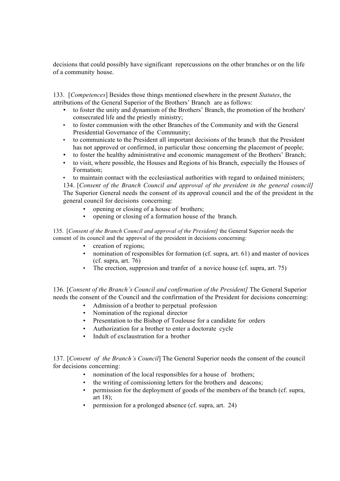decisions that could possibly have significant repercussions on the other branches or on the life of a community house.

133. [*Competences*] Besides those things mentioned elsewhere in the present *Statutes*, the attributions of the General Superior of the Brothers' Branch are as follows:

- to foster the unity and dynamism of the Brothers' Branch, the promotion of the brothers' consecrated life and the priestly ministry;
- to foster communion with the other Branches of the Community and with the General Presidential Governance of the Community;
- to communicate to the President all important decisions of the branch that the President has not approved or confirmed, in particular those concerning the placement of people;
- to foster the healthy administrative and economic management of the Brothers' Branch;
- to visit, where possible, the Houses and Regions of his Branch, especially the Houses of Formation;
- to maintain contact with the ecclesiastical authorities with regard to ordained ministers;

134. [*Consent of the Branch Council and approval of the president in the general council]*  The Superior General needs the consent of its approval council and the of the president in the general council for decisions concerning:

- opening or closing of a house of brothers;
- opening or closing of a formation house of the branch.

135. [*Consent of the Branch Council and approval of the President]* the General Superior needs the consent of its council and the approval of the president in decisions concerning:

- creation of regions;
- nomination of responsibles for formation (cf. supra, art. 61) and master of novices (cf. supra, art. 76)
- The erection, suppresion and tranfer of a novice house (cf. supra, art. 75)

136. [*Consent of the Branch's Council and confirmation of the President]* The General Superior needs the consent of the Council and the confirmation of the President for decisions concerning:

- Admission of a brother to perpetual profession
- Nomination of the regional director
- Presentation to the Bishop of Toulouse for a candidate for orders
- Authorization for a brother to enter a doctorate cycle
- Indult of exclaustration for a brother

137. [*Consent of the Branch's Council*] The General Superior needs the consent of the council for decisions concerning:

- nomination of the local responsibles for a house of brothers;
- the writing of comissioning letters for the brothers and deacons;
- permission for the deployment of goods of the members of the branch (cf. supra, art 18);
- permission for a prolonged absence (cf. supra, art. 24)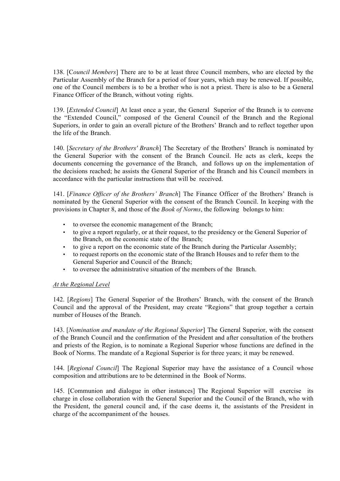138. [C*ouncil Members*] There are to be at least three Council members, who are elected by the Particular Assembly of the Branch for a period of four years, which may be renewed. If possible, one of the Council members is to be a brother who is not a priest. There is also to be a General Finance Officer of the Branch, without voting rights.

139. [*Extended Council*] At least once a year, the General Superior of the Branch is to convene the "Extended Council," composed of the General Council of the Branch and the Regional Superiors, in order to gain an overall picture of the Brothers' Branch and to reflect together upon the life of the Branch.

140. [*Secretary of the Brothers' Branch*] The Secretary of the Brothers' Branch is nominated by the General Superior with the consent of the Branch Council. He acts as clerk, keeps the documents concerning the governance of the Branch, and follows up on the implementation of the decisions reached; he assists the General Superior of the Branch and his Council members in accordance with the particular instructions that will be received.

141. [*Finance Officer of the Brothers' Branch*] The Finance Officer of the Brothers' Branch is nominated by the General Superior with the consent of the Branch Council. In keeping with the provisions in Chapter 8, and those of the *Book of Norms*, the following belongs to him:

- to oversee the economic management of the Branch;
- to give a report regularly, or at their request, to the presidency or the General Superior of the Branch, on the economic state of the Branch;
- to give a report on the economic state of the Branch during the Particular Assembly;
- to request reports on the economic state of the Branch Houses and to refer them to the General Superior and Council of the Branch;
- to oversee the administrative situation of the members of the Branch.

#### *At the Regional Level*

142. [*Regions*] The General Superior of the Brothers' Branch, with the consent of the Branch Council and the approval of the President, may create "Regions" that group together a certain number of Houses of the Branch.

143. [*Nomination and mandate of the Regional Superior*] The General Superior, with the consent of the Branch Council and the confirmation of the President and after consultation of the brothers and priests of the Region, is to nominate a Regional Superior whose functions are defined in the Book of Norms. The mandate of a Regional Superior is for three years; it may be renewed.

144. [*Regional Council*] The Regional Superior may have the assistance of a Council whose composition and attributions are to be determined in the Book of Norms.

145. [Communion and dialogue in other instances] The Regional Superior will exercise its charge in close collaboration with the General Superior and the Council of the Branch, who with the President, the general council and, if the case deems it, the assistants of the President in charge of the accompaniment of the houses.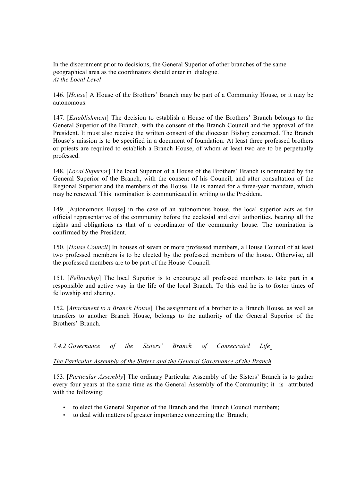In the discernment prior to decisions, the General Superior of other branches of the same geographical area as the coordinators should enter in dialogue. *At the Local Level*

146. [*House*] A House of the Brothers' Branch may be part of a Community House, or it may be autonomous.

147. [*Establishment*] The decision to establish a House of the Brothers' Branch belongs to the General Superior of the Branch, with the consent of the Branch Council and the approval of the President. It must also receive the written consent of the diocesan Bishop concerned. The Branch House's mission is to be specified in a document of foundation. At least three professed brothers or priests are required to establish a Branch House, of whom at least two are to be perpetually professed.

148. [*Local Superior*] The local Superior of a House of the Brothers' Branch is nominated by the General Superior of the Branch, with the consent of his Council, and after consultation of the Regional Superior and the members of the House. He is named for a three-year mandate, which may be renewed. This nomination is communicated in writing to the President.

149. [Autonomous House] in the case of an autonomous house, the local superior acts as the official representative of the community before the ecclesial and civil authorities, bearing all the rights and obligations as that of a coordinator of the community house. The nomination is confirmed by the President.

150. [*House Council*] In houses of seven or more professed members, a House Council of at least two professed members is to be elected by the professed members of the house. Otherwise, all the professed members are to be part of the House Council.

151. [*Fellowship*] The local Superior is to encourage all professed members to take part in a responsible and active way in the life of the local Branch. To this end he is to foster times of fellowship and sharing.

152. [*Attachment to a Branch House*] The assignment of a brother to a Branch House, as well as transfers to another Branch House, belongs to the authority of the General Superior of the Brothers' Branch.

*7.4.2 Governance of the Sisters' Branch of Consecrated Life*

#### *The Particular Assembly of the Sisters and the General Governance of the Branch*

153. [*Particular Assembly*] The ordinary Particular Assembly of the Sisters' Branch is to gather every four years at the same time as the General Assembly of the Community; it is attributed with the following:

- to elect the General Superior of the Branch and the Branch Council members;
- to deal with matters of greater importance concerning the Branch;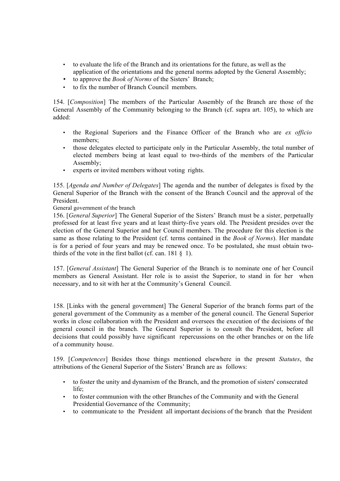- to evaluate the life of the Branch and its orientations for the future, as well as the application of the orientations and the general norms adopted by the General Assembly;
- to approve the *Book of Norms* of the Sisters' Branch;
- to fix the number of Branch Council members.

154. [*Composition*] The members of the Particular Assembly of the Branch are those of the General Assembly of the Community belonging to the Branch (cf. supra art. 105), to which are added:

- the Regional Superiors and the Finance Officer of the Branch who are *ex officio* members;
- those delegates elected to participate only in the Particular Assembly, the total number of elected members being at least equal to two-thirds of the members of the Particular Assembly;
- experts or invited members without voting rights.

155. [*Agenda and Number of Delegates*] The agenda and the number of delegates is fixed by the General Superior of the Branch with the consent of the Branch Council and the approval of the President.

#### General government of the branch

156. [*General Superior*] The General Superior of the Sisters' Branch must be a sister, perpetually professed for at least five years and at least thirty-five years old. The President presides over the election of the General Superior and her Council members. The procedure for this election is the same as those relating to the President (cf. terms contained in the *Book of Norms*). Her mandate is for a period of four years and may be renewed once. To be postulated, she must obtain twothirds of the vote in the first ballot (cf. can.  $181 \, \text{S}$ ).

157. [*General Assistant*] The General Superior of the Branch is to nominate one of her Council members as General Assistant. Her role is to assist the Superior, to stand in for her when necessary, and to sit with her at the Community's General Council.

158. [Links with the general government] The General Superior of the branch forms part of the general government of the Community as a member of the general council. The General Superior works in close collaboration with the President and oversees the execution of the decisions of the general council in the branch. The General Superior is to consult the President, before all decisions that could possibly have significant repercussions on the other branches or on the life of a community house.

159. [*Competences*] Besides those things mentioned elsewhere in the present *Statutes*, the attributions of the General Superior of the Sisters' Branch are as follows:

- to foster the unity and dynamism of the Branch, and the promotion of sisters' consecrated life;
- to foster communion with the other Branches of the Community and with the General Presidential Governance of the Community;
- to communicate to the President all important decisions of the branch that the President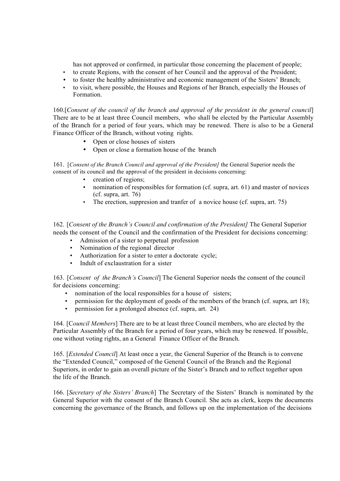has not approved or confirmed, in particular those concerning the placement of people;

- to create Regions, with the consent of her Council and the approval of the President;
- to foster the healthy administrative and economic management of the Sisters' Branch;
- to visit, where possible, the Houses and Regions of her Branch, especially the Houses of Formation.

160.[*Consent of the council of the branch and approval of the president in the general council*] There are to be at least three Council members, who shall be elected by the Particular Assembly of the Branch for a period of four years, which may be renewed. There is also to be a General Finance Officer of the Branch, without voting rights.

- Open or close houses of sisters
- Open or close a formation house of the branch

161. [*Consent of the Branch Council and approval of the President]* the General Superior needs the consent of its council and the approval of the president in decisions concerning:

- creation of regions;
- nomination of responsibles for formation (cf. supra, art. 61) and master of novices (cf. supra, art. 76)
- The erection, suppresion and tranfer of a novice house (cf. supra, art. 75)

162. [*Consent of the Branch's Council and confirmation of the President]* The General Superior needs the consent of the Council and the confirmation of the President for decisions concerning:

- Admission of a sister to perpetual profession
- Nomination of the regional director
- Authorization for a sister to enter a doctorate cycle;
- Indult of exclaustration for a sister

163. [*Consent of the Branch's Council*] The General Superior needs the consent of the council for decisions concerning:

- nomination of the local responsibles for a house of sisters;
- permission for the deployment of goods of the members of the branch (cf. supra, art 18);
- permission for a prolonged absence (cf. supra, art. 24)

164. [C*ouncil Members*] There are to be at least three Council members, who are elected by the Particular Assembly of the Branch for a period of four years, which may be renewed. If possible, one without voting rights, an a General Finance Officer of the Branch.

165. [*Extended Council*] At least once a year, the General Superior of the Branch is to convene the "Extended Council," composed of the General Council of the Branch and the Regional Superiors, in order to gain an overall picture of the Sister's Branch and to reflect together upon the life of the Branch.

166. [*Secretary of the Sisters' Branch*] The Secretary of the Sisters' Branch is nominated by the General Superior with the consent of the Branch Council. She acts as clerk, keeps the documents concerning the governance of the Branch, and follows up on the implementation of the decisions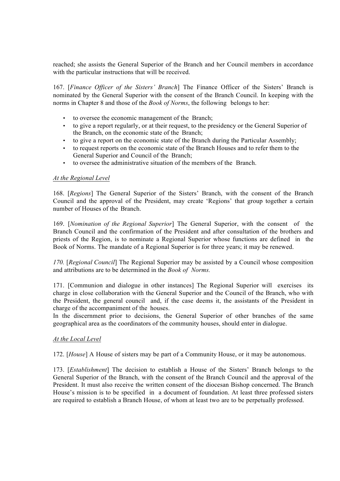reached; she assists the General Superior of the Branch and her Council members in accordance with the particular instructions that will be received.

167. [*Finance Officer of the Sisters' Branch*] The Finance Officer of the Sisters' Branch is nominated by the General Superior with the consent of the Branch Council. In keeping with the norms in Chapter 8 and those of the *Book of Norms*, the following belongs to her:

- to oversee the economic management of the Branch;
- to give a report regularly, or at their request, to the presidency or the General Superior of the Branch, on the economic state of the Branch;
- to give a report on the economic state of the Branch during the Particular Assembly;
- to request reports on the economic state of the Branch Houses and to refer them to the General Superior and Council of the Branch;
- to oversee the administrative situation of the members of the Branch.

#### *At the Regional Level*

168. [*Regions*] The General Superior of the Sisters' Branch, with the consent of the Branch Council and the approval of the President, may create 'Regions' that group together a certain number of Houses of the Branch.

169. [*Nomination of the Regional Superior*] The General Superior, with the consent of the Branch Council and the confirmation of the President and after consultation of the brothers and priests of the Region, is to nominate a Regional Superior whose functions are defined in the Book of Norms. The mandate of a Regional Superior is for three years; it may be renewed.

*170.* [*Regional Council*] The Regional Superior may be assisted by a Council whose composition and attributions are to be determined in the *Book of Norms.*

171. [Communion and dialogue in other instances] The Regional Superior will exercises its charge in close collaboration with the General Superior and the Council of the Branch, who with the President, the general council and, if the case deems it, the assistants of the President in charge of the accompaniment of the houses.

In the discernment prior to decisions, the General Superior of other branches of the same geographical area as the coordinators of the community houses, should enter in dialogue.

#### *At the Local Level*

172. [*House*] A House of sisters may be part of a Community House, or it may be autonomous.

173. [*Establishment*] The decision to establish a House of the Sisters' Branch belongs to the General Superior of the Branch, with the consent of the Branch Council and the approval of the President. It must also receive the written consent of the diocesan Bishop concerned. The Branch House's mission is to be specified in a document of foundation. At least three professed sisters are required to establish a Branch House, of whom at least two are to be perpetually professed.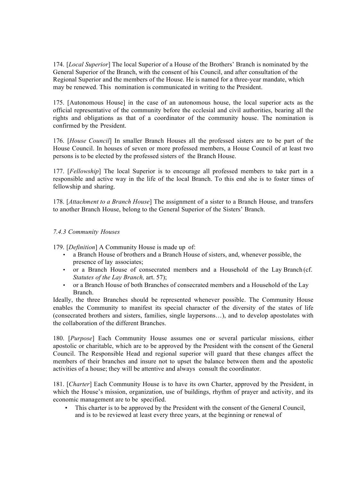174. [*Local Superior*] The local Superior of a House of the Brothers' Branch is nominated by the General Superior of the Branch, with the consent of his Council, and after consultation of the Regional Superior and the members of the House. He is named for a three-year mandate, which may be renewed. This nomination is communicated in writing to the President.

175. [Autonomous House] in the case of an autonomous house, the local superior acts as the official representative of the community before the ecclesial and civil authorities, bearing all the rights and obligations as that of a coordinator of the community house. The nomination is confirmed by the President.

176. [*House Council*] In smaller Branch Houses all the professed sisters are to be part of the House Council. In houses of seven or more professed members, a House Council of at least two persons is to be elected by the professed sisters of the Branch House.

177. [*Fellowship*] The local Superior is to encourage all professed members to take part in a responsible and active way in the life of the local Branch. To this end she is to foster times of fellowship and sharing.

178. [*Attachment to a Branch House*] The assignment of a sister to a Branch House, and transfers to another Branch House, belong to the General Superior of the Sisters' Branch.

#### *7.4.3 Community Houses*

179. [*Definition*] A Community House is made up of:

- a Branch House of brothers and a Branch House of sisters, and, whenever possible, the presence of lay associates;
- or a Branch House of consecrated members and a Household of the Lay Branch (cf. *Statutes of the Lay Branch,* art. 57);
- or a Branch House of both Branches of consecrated members and a Household of the Lay Branch.

Ideally, the three Branches should be represented whenever possible. The Community House enables the Community to manifest its special character of the diversity of the states of life (consecrated brothers and sisters, families, single laypersons…), and to develop apostolates with the collaboration of the different Branches.

180. [*Purpose*] Each Community House assumes one or several particular missions, either apostolic or charitable, which are to be approved by the President with the consent of the General Council. The Responsible Head and regional superior will guard that these changes affect the members of their branches and insure not to upset the balance between them and the apostolic activities of a house; they will be attentive and always consult the coordinator.

181. [*Charter*] Each Community House is to have its own Charter, approved by the President, in which the House's mission, organization, use of buildings, rhythm of prayer and activity, and its economic management are to be specified.

• This charter is to be approved by the President with the consent of the General Council, and is to be reviewed at least every three years, at the beginning or renewal of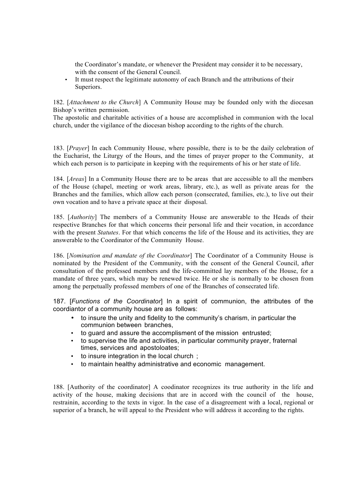the Coordinator's mandate, or whenever the President may consider it to be necessary, with the consent of the General Council.

• It must respect the legitimate autonomy of each Branch and the attributions of their Superiors.

182. [*Attachment to the Church*] A Community House may be founded only with the diocesan Bishop's written permission.

The apostolic and charitable activities of a house are accomplished in communion with the local church, under the vigilance of the diocesan bishop according to the rights of the church.

183. [*Prayer*] In each Community House, where possible, there is to be the daily celebration of the Eucharist, the Liturgy of the Hours, and the times of prayer proper to the Community, at which each person is to participate in keeping with the requirements of his or her state of life.

184. [*Areas*] In a Community House there are to be areas that are accessible to all the members of the House (chapel, meeting or work areas, library, etc.), as well as private areas for the Branches and the families, which allow each person (consecrated, families, etc.), to live out their own vocation and to have a private space at their disposal.

185. [*Authority*] The members of a Community House are answerable to the Heads of their respective Branches for that which concerns their personal life and their vocation, in accordance with the present *Statutes*. For that which concerns the life of the House and its activities, they are answerable to the Coordinator of the Community House.

186. [*Nomination and mandate of the Coordinator*] The Coordinator of a Community House is nominated by the President of the Community, with the consent of the General Council, after consultation of the professed members and the life-committed lay members of the House, for a mandate of three years, which may be renewed twice. He or she is normally to be chosen from among the perpetually professed members of one of the Branches of consecrated life.

187. [*Functions of the Coordinator*] In a spirit of communion, the attributes of the coordiantor of a community house are as follows:

- to insure the unity and fidelity to the community's charism, in particular the communion between branches,
- to guard and assure the accomplisment of the mission entrusted;
- to supervise the life and activities, in particular community prayer, fraternal times, services and apostoloates;
- to insure integration in the local church ;
- to maintain healthy administrative and economic management.

188. [Authority of the coordinator] A coodinator recognizes its true authority in the life and activity of the house, making decisions that are in accord with the council of the house, restrainin, according to the texts in vigor. In the case of a disagreement with a local, regional or superior of a branch, he will appeal to the President who will address it according to the rights.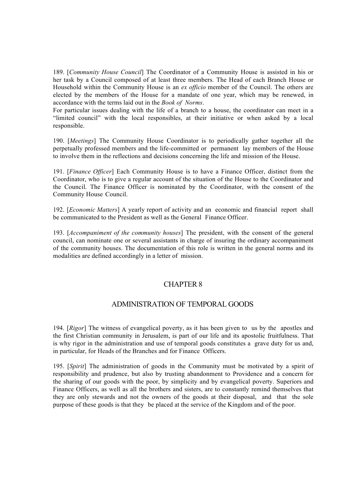189. [*Community House Council*] The Coordinator of a Community House is assisted in his or her task by a Council composed of at least three members. The Head of each Branch House or Household within the Community House is an *ex officio* member of the Council. The others are elected by the members of the House for a mandate of one year, which may be renewed, in accordance with the terms laid out in the *Book of Norms*.

For particular issues dealing with the life of a branch to a house, the coordinator can meet in a "limited council" with the local responsibles, at their initiative or when asked by a local responsible.

190. [*Meetings*] The Community House Coordinator is to periodically gather together all the perpetually professed members and the life-committed or permanent lay members of the House to involve them in the reflections and decisions concerning the life and mission of the House.

191. [*Finance Officer*] Each Community House is to have a Finance Officer, distinct from the Coordinator, who is to give a regular account of the situation of the House to the Coordinator and the Council. The Finance Officer is nominated by the Coordinator, with the consent of the Community House Council.

192. [*Economic Matters*] A yearly report of activity and an economic and financial report shall be communicated to the President as well as the General Finance Officer.

193. [*Accompaniment of the community houses*] The president, with the consent of the general council, can nominate one or several assistants in charge of insuring the ordinary accompaniment of the community houses. The documentation of this role is written in the general norms and its modalities are defined accordingly in a letter of mission.

## CHAPTER 8

## ADMINISTRATION OF TEMPORAL GOODS

194. [*Rigor*] The witness of evangelical poverty, as it has been given to us by the apostles and the first Christian community in Jerusalem, is part of our life and its apostolic fruitfulness. That is why rigor in the administration and use of temporal goods constitutes a grave duty for us and, in particular, for Heads of the Branches and for Finance Officers.

195. [*Spirit*] The administration of goods in the Community must be motivated by a spirit of responsibility and prudence, but also by trusting abandonment to Providence and a concern for the sharing of our goods with the poor, by simplicity and by evangelical poverty. Superiors and Finance Officers, as well as all the brothers and sisters, are to constantly remind themselves that they are only stewards and not the owners of the goods at their disposal, and that the sole purpose of these goods is that they be placed at the service of the Kingdom and of the poor.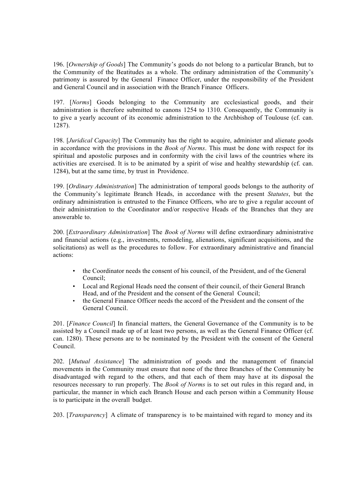196. [*Ownership of Goods*] The Community's goods do not belong to a particular Branch, but to the Community of the Beatitudes as a whole. The ordinary administration of the Community's patrimony is assured by the General Finance Officer, under the responsibility of the President and General Council and in association with the Branch Finance Officers.

197. [*Norms*] Goods belonging to the Community are ecclesiastical goods, and their administration is therefore submitted to canons 1254 to 1310. Consequently, the Community is to give a yearly account of its economic administration to the Archbishop of Toulouse (cf. can. 1287).

198. [*Juridical Capacity*] The Community has the right to acquire, administer and alienate goods in accordance with the provisions in the *Book of Norms*. This must be done with respect for its spiritual and apostolic purposes and in conformity with the civil laws of the countries where its activities are exercised. It is to be animated by a spirit of wise and healthy stewardship (cf. can. 1284), but at the same time, by trust in Providence.

199. [*Ordinary Administration*] The administration of temporal goods belongs to the authority of the Community's legitimate Branch Heads, in accordance with the present *Statutes*, but the ordinary administration is entrusted to the Finance Officers, who are to give a regular account of their administration to the Coordinator and/or respective Heads of the Branches that they are answerable to.

200. [*Extraordinary Administration*] The *Book of Norms* will define extraordinary administrative and financial actions (e.g., investments, remodeling, alienations, significant acquisitions, and the solicitations) as well as the procedures to follow. For extraordinary administrative and financial actions:

- the Coordinator needs the consent of his council, of the President, and of the General Council;
- Local and Regional Heads need the consent of their council, of their General Branch Head, and of the President and the consent of the General Council;
- the General Finance Officer needs the accord of the President and the consent of the General Council.

201. [*Finance Council*] In financial matters, the General Governance of the Community is to be assisted by a Council made up of at least two persons, as well as the General Finance Officer (cf. can. 1280). These persons are to be nominated by the President with the consent of the General Council.

202. [*Mutual Assistance*] The administration of goods and the management of financial movements in the Community must ensure that none of the three Branches of the Community be disadvantaged with regard to the others, and that each of them may have at its disposal the resources necessary to run properly. The *Book of Norms* is to set out rules in this regard and, in particular, the manner in which each Branch House and each person within a Community House is to participate in the overall budget.

203. [*Transparency*] A climate of transparency is to be maintained with regard to money and its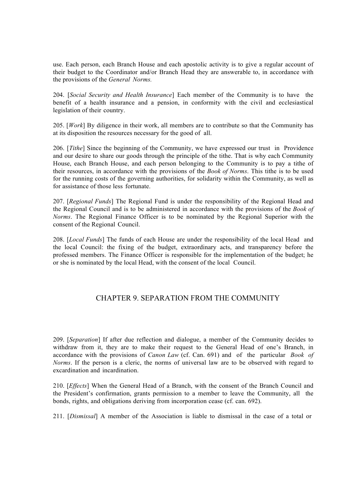use. Each person, each Branch House and each apostolic activity is to give a regular account of their budget to the Coordinator and/or Branch Head they are answerable to, in accordance with the provisions of the *General Norms.*

204. [*Social Security and Health Insurance*] Each member of the Community is to have the benefit of a health insurance and a pension, in conformity with the civil and ecclesiastical legislation of their country.

205. [*Work*] By diligence in their work, all members are to contribute so that the Community has at its disposition the resources necessary for the good of all.

206. [*Tithe*] Since the beginning of the Community, we have expressed our trust in Providence and our desire to share our goods through the principle of the tithe. That is why each Community House, each Branch House, and each person belonging to the Community is to pay a tithe of their resources, in accordance with the provisions of the *Book of Norms*. This tithe is to be used for the running costs of the governing authorities, for solidarity within the Community, as well as for assistance of those less fortunate.

207. [*Regional Funds*] The Regional Fund is under the responsibility of the Regional Head and the Regional Council and is to be administered in accordance with the provisions of the *Book of Norms*. The Regional Finance Officer is to be nominated by the Regional Superior with the consent of the Regional Council.

208. [*Local Funds*] The funds of each House are under the responsibility of the local Head and the local Council: the fixing of the budget, extraordinary acts, and transparency before the professed members. The Finance Officer is responsible for the implementation of the budget; he or she is nominated by the local Head, with the consent of the local Council.

## CHAPTER 9. SEPARATION FROM THE COMMUNITY

209. [*Separation*] If after due reflection and dialogue, a member of the Community decides to withdraw from it, they are to make their request to the General Head of one's Branch, in accordance with the provisions of *Canon Law* (cf. Can. 691) and of the particular *Book of Norms*. If the person is a cleric, the norms of universal law are to be observed with regard to excardination and incardination.

210. [*Effects*] When the General Head of a Branch, with the consent of the Branch Council and the President's confirmation, grants permission to a member to leave the Community, all the bonds, rights, and obligations deriving from incorporation cease (cf. can. 692).

211. [*Dismissal*] A member of the Association is liable to dismissal in the case of a total or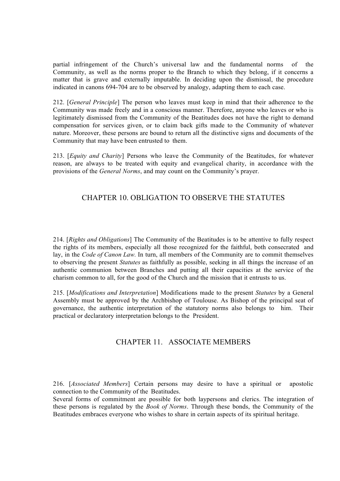partial infringement of the Church's universal law and the fundamental norms of the Community, as well as the norms proper to the Branch to which they belong, if it concerns a matter that is grave and externally imputable. In deciding upon the dismissal, the procedure indicated in canons 694-704 are to be observed by analogy, adapting them to each case.

212. [*General Principle*] The person who leaves must keep in mind that their adherence to the Community was made freely and in a conscious manner. Therefore, anyone who leaves or who is legitimately dismissed from the Community of the Beatitudes does not have the right to demand compensation for services given, or to claim back gifts made to the Community of whatever nature. Moreover, these persons are bound to return all the distinctive signs and documents of the Community that may have been entrusted to them.

213. [*Equity and Charity*] Persons who leave the Community of the Beatitudes, for whatever reason, are always to be treated with equity and evangelical charity, in accordance with the provisions of the *General Norms*, and may count on the Community's prayer.

## CHAPTER 10. OBLIGATION TO OBSERVE THE STATUTES

214. [*Rights and Obligations*] The Community of the Beatitudes is to be attentive to fully respect the rights of its members, especially all those recognized for the faithful, both consecrated and lay, in the *Code of Canon Law.* In turn, all members of the Community are to commit themselves to observing the present *Statutes* as faithfully as possible, seeking in all things the increase of an authentic communion between Branches and putting all their capacities at the service of the charism common to all, for the good of the Church and the mission that it entrusts to us.

215. [*Modifications and Interpretation*] Modifications made to the present *Statutes* by a General Assembly must be approved by the Archbishop of Toulouse. As Bishop of the principal seat of governance, the authentic interpretation of the statutory norms also belongs to him. Their practical or declaratory interpretation belongs to the President.

## CHAPTER 11. ASSOCIATE MEMBERS

216. [*Associated Members*] Certain persons may desire to have a spiritual or apostolic connection to the Community of the Beatitudes.

Several forms of commitment are possible for both laypersons and clerics. The integration of these persons is regulated by the *Book of Norms*. Through these bonds, the Community of the Beatitudes embraces everyone who wishes to share in certain aspects of its spiritual heritage.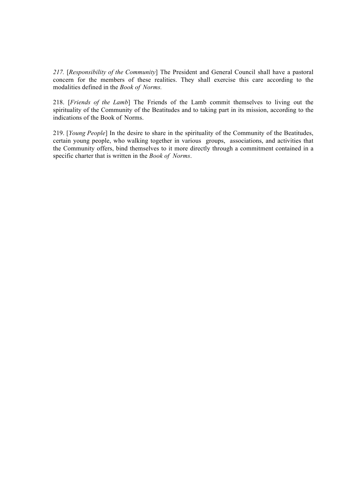*217.* [*Responsibility of the Community*] The President and General Council shall have a pastoral concern for the members of these realities. They shall exercise this care according to the modalities defined in the *Book of Norms.*

218. [*Friends of the Lamb*] The Friends of the Lamb commit themselves to living out the spirituality of the Community of the Beatitudes and to taking part in its mission, according to the indications of the Book of Norms.

219. [*Young People*] In the desire to share in the spirituality of the Community of the Beatitudes, certain young people, who walking together in various groups, associations, and activities that the Community offers, bind themselves to it more directly through a commitment contained in a specific charter that is written in the *Book of Norms*.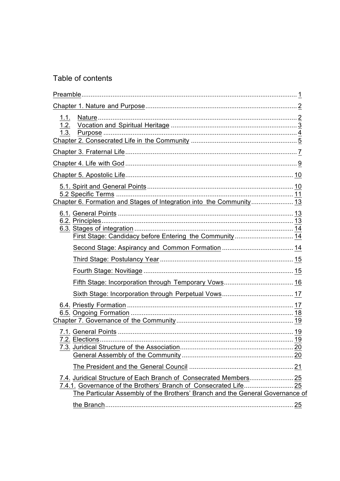## Table of contents

| 1.3.                                                                          |  |
|-------------------------------------------------------------------------------|--|
|                                                                               |  |
|                                                                               |  |
|                                                                               |  |
| Chapter 6. Formation and Stages of Integration into the Community 13          |  |
| First Stage: Candidacy before Entering the Community 14                       |  |
|                                                                               |  |
|                                                                               |  |
|                                                                               |  |
|                                                                               |  |
|                                                                               |  |
|                                                                               |  |
|                                                                               |  |
|                                                                               |  |
| The Particular Assembly of the Brothers' Branch and the General Governance of |  |
|                                                                               |  |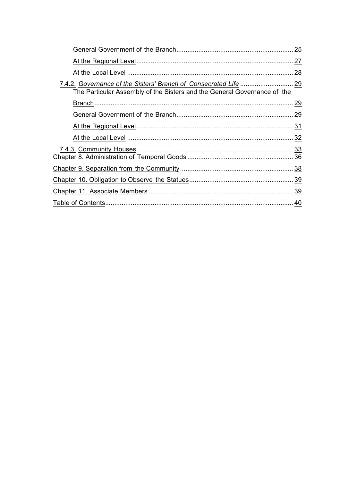|                                                                                                                                          | 25  |
|------------------------------------------------------------------------------------------------------------------------------------------|-----|
|                                                                                                                                          | 27  |
|                                                                                                                                          | 28  |
| 7.4.2. Governance of the Sisters' Branch of Consecrated Life<br>The Particular Assembly of the Sisters and the General Governance of the | 29  |
|                                                                                                                                          | .29 |
|                                                                                                                                          | 29  |
|                                                                                                                                          |     |
|                                                                                                                                          | 32  |
|                                                                                                                                          | 33  |
|                                                                                                                                          |     |
|                                                                                                                                          | 39  |
|                                                                                                                                          |     |
|                                                                                                                                          |     |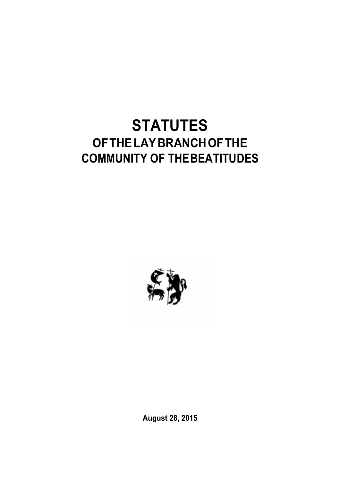# **STATUTES OFTHELAYBRANCHOFTHE COMMUNITY OF THEBEATITUDES**



**August 28, 2015**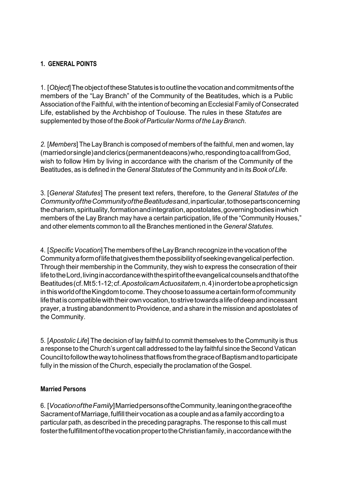## **1. GENERAL POINTS**

1. [*Object*]TheobjectoftheseStatutesistooutlinethevocationandcommitmentsofthe members of the "Lay Branch" of the Community of the Beatitudes, which is a Public Association of the Faithful, with the intention of becoming an Ecclesial Family of Consecrated Life, established by the Archbishop of Toulouse. The rules in these *Statutes* are supplemented by those of the*Book of Particular Norms of the Lay Branch*.

*2.* [*Members*] The Lay Branch is composed of members of the faithful, men and women, lay (marriedorsingle)andclerics(permanentdeacons)who,respondingtoacallfromGod, wish to follow Him by living in accordance with the charism of the Community of the Beatitudes, as is defined in the *General Statutes* of the Community and in its *Book of Life.*

3. [*General Statutes*] The present text refers, therefore, to the *General Statutes of the CommunityoftheCommunityoftheBeatitudes*and,inparticular,tothosepartsconcerning thecharism,spirituality,formationandintegration,apostolates,governingbodiesinwhich members of the Lay Branch may have a certain participation, life of the "Community Houses," and other elements common to all the Branches mentioned in the *General Statutes*.

4. [*SpecificVocation*]ThemembersoftheLayBranchrecognizeinthevocationofthe Communityaformoflifethatgivesthemthepossibilityofseekingevangelicalperfection. Through their membership in the Community, they wish to express the consecration of their lifetothe Lord, living in accordance with the spirit of the evangelical counsels and that of the Beatitudes(cf.Mt5:1-12;cf.*ApostolicamActuositatem*,n.4)inordertobeapropheticsign in this world of the Kingdom to come. They choose to assume a certain form of community life that is compatible with their own vocation, to strive towards a life of deep and incessant prayer, a trusting abandonment to Providence, and a share in the mission and apostolates of the Community.

5. [*Apostolic Life*] The decision of lay faithful to commit themselves to the Community is thus a response to the Church's urgent call addressed to the lay faithful since the Second Vatican CounciltofollowthewaytoholinessthatflowsfromthegraceofBaptismandtoparticipate fully in the mission of the Church, especially the proclamation of the Gospel.

## **Married Persons**

6. [*VocationoftheFamily*]MarriedpersonsoftheCommunity,leaningonthegraceofthe Sacrament of Marriage, fulfill their vocation as a couple and as a family according to a particular path, as described in the preceding paragraphs. The response to this call must fosterthefulfillmentofthevocationpropertotheChristianfamily,inaccordancewiththe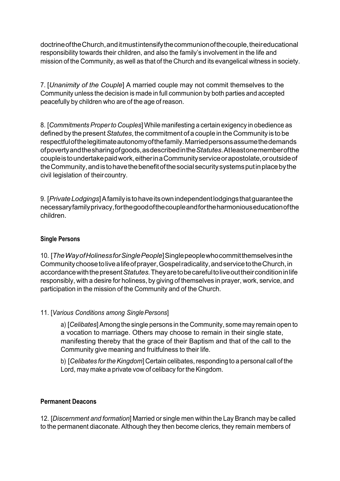doctrine of the Church, and it must intensify the communion of the couple, their educational responsibility towards their children, and also the family's involvement in the life and mission of the Community, as well as that of the Church and its evangelical witness in society.

7. [*Unanimity of the Couple*] A married couple may not commit themselves to the Community unless the decision is made in full communion by both parties and accepted peacefully by children who are of the age of reason.

8. [*CommitmentsProperto Couples*] While manifesting a certain exigency in obedience as defined by the present*Statutes*, the commitment of a couple in the Community is to be respectfulofthelegitimateautonomyofthefamily.Marriedpersonsassumethedemands ofpovertyandthesharingofgoods,asdescribedinthe*Statutes*.Atleastonememberofthe coupleistoundertakepaidwork,eitherinaCommunityserviceorapostolate,oroutsideof the Community, and is to have the benefit of the social security systems put in place by the civil legislation of theircountry.

9. [*PrivateLodgings*]Afamilyistohaveitsownindependentlodgingsthatguaranteethe necessaryfamilyprivacy,forthegoodofthecoupleandfortheharmoniouseducationofthe children.

## **Single Persons**

10. [*TheWayofHolinessforSinglePeople*]Singlepeoplewhocommitthemselvesinthe Communitychoosetolivealifeofprayer,Gospelradicality,andservicetotheChurch,in accordancewiththepresent*Statutes.*Theyaretobecarefultoliveouttheirconditioninlife responsibly, with a desire for holiness, by giving of themselves in prayer, work, service, and participation in the mission of the Community and of the Church.

## 11. [*Various Conditions among SinglePersons*]

a) [*Celibates*] Among the single persons in the Community, some may remain open to a vocation to marriage. Others may choose to remain in their single state, manifesting thereby that the grace of their Baptism and that of the call to the Community give meaning and fruitfulness to their life.

b) [*Celibates fortheKingdom*] Certain celibates,responding to a personal call of the Lord, may make a private vow of celibacy for the Kingdom.

## **Permanent Deacons**

12. [*Discernment and formation*] Married or single men within the Lay Branch may be called to the permanent diaconate. Although they then become clerics, they remain members of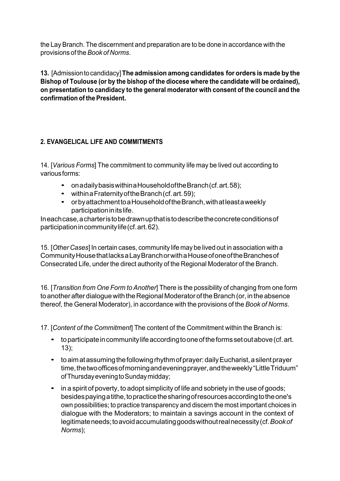the Lay Branch. The discernment and preparation are to be done in accordance with the provisions of the *Book of Norms*.

**13.** [Admissiontocandidacy]**The admission among candidates for orders is made by the Bishop of Toulouse (or by the bishop of the diocese where the candidate will be ordained), on presentation to candidacy to the general moderator with consent of the council and the confirmation of the President.**

## **2. EVANGELICAL LIFE AND COMMITMENTS**

14. [*Various Forms*] The commitment to community life may be lived out according to variousforms:

- onadailybasiswithinaHouseholdoftheBranch(cf.art.58);
- within a Fraternity of the Branch (cf. art. 59);
- orbyattachmenttoaHouseholdoftheBranch,withatleastaweekly participationinitslife.

Ineachcase,acharteristobedrawnupthatistodescribetheconcreteconditionsof participationincommunitylife(cf.art.62).

15. [*Other Cases*] In certain cases, community life may be lived out in association with a CommunityHousethatlacksaLayBranchorwithaHouseofoneoftheBranchesof Consecrated Life, under the direct authority of the Regional Moderator of the Branch.

16. [*Transition from One Form to Another*] There is the possibility of changing from one form to another after dialogue with the Regional Moderator of the Branch (or, in the absence thereof, the General Moderator), in accordance with the provisions of the *Book of Norms*.

17. [*Content of the Commitment*] The content of the Commitment within the Branch is:

- to participate in community life according to one of the forms set out above (cf. art. 13);
- to aim at assuming the following rhythm of prayer: daily Eucharist, a silent prayer time, the two offices of morning and evening prayer, and the weekly "Little Triduum" ofThursdayeveningtoSundaymidday;
- in a spirit of poverty, to adopt simplicity of life and sobriety in the use of goods; besides paying a tithe, to practice the sharing of resources according to the one's own possibilities; to practice transparency and discern the most important choices in dialogue with the Moderators; to maintain a savings account in the context of legitimateneeds;toavoidaccumulatinggoodswithoutrealnecessity(cf.*Bookof Norms*);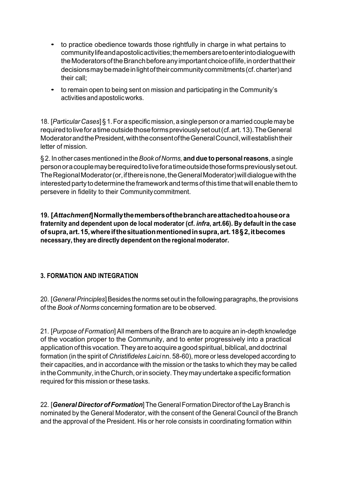- to practice obedience towards those rightfully in charge in what pertains to communitylifeandapostolicactivities;themembersaretoenterintodialoguewith the Moderators of the Branch before any important choice of life, in order that their decisions may be made in light of their community commitments (cf. charter) and their call;
- to remain open to being sent on mission and participating in the Community's activitiesandapostolicworks.

18. [*Particular Cases*] § 1.For a specificmission,a single person or a married couple may be requiredtoliveforatimeoutsidethoseformspreviouslysetout(cf.art.13).TheGeneral ModeratorandthePresident,withtheconsentoftheGeneralCouncil,willestablishtheir letter of mission.

§ 2. In other cases mentioned in the*Book of Norms,* **and due topersonalreasons**, a single personoracouplemayberequiredtoliveforatimeoutsidethoseformspreviouslysetout. The Regional Moderator (or, if there is none, the General Moderator) will dialogue with the interested party to determine the framework and terms of this time that will enable them to persevere in fidelity to their Communitycommitment.

**19. [***Attachment***]Normallythemembersofthebranchareattachedtoahouseora fraternity and dependent upon de local moderator (cf.** *infra***, art.66). By default in the case ofsupra,art.15,whereifthesituationmentionedinsupra,art.18§2,itbecomes necessary, they are directly dependent on the regional moderator.**

## **3. FORMATION AND INTEGRATION**

20. [*GeneralPrinciples*]Besides the norms set out in the following paragraphs, the provisions of the *Book of Norms* concerning formation are to be observed.

21. [*Purpose of Formation*] All members of the Branch are to acquire an in-depth knowledge of the vocation proper to the Community, and to enter progressively into a practical application of this vocation. They are to acquire a good spiritual, biblical, and doctrinal formation (in the spirit of *Christifideles Laici* nn. 58-60), more or less developed according to their capacities, and in accordance with the mission or the tasks to which they may be called in the Community, in the Church, or in society. They may undertake a specific formation required for this mission or these tasks.

22. [*General DirectorofFormation*] TheGeneralFormation Director of the LayBranch is nominated by the General Moderator, with the consent of the General Council of the Branch and the approval of the President. His or her role consists in coordinating formation within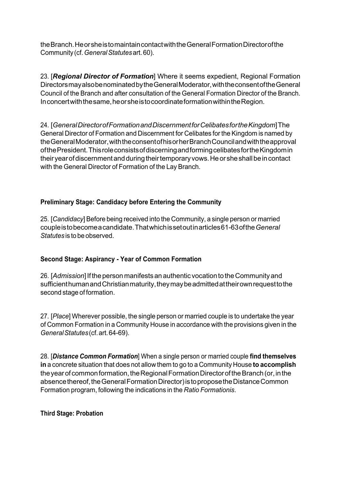theBranch.HeorsheistomaintaincontactwiththeGeneralFormationDirectorofthe Community (cf.*GeneralStatutes*art.60).

23. [*Regional Director of Formation*] Where it seems expedient, Regional Formation DirectorsmayalsobenominatedbytheGeneralModerator,withtheconsentoftheGeneral Council of the Branch and after consultation of the General Formation Director of the Branch. Inconcertwiththesame,heorsheistocoordinateformationwithintheRegion.

24. [*GeneralDirectorofFormationandDiscernmentforCelibatesfortheKingdom*]The General Director of Formation and Discernment for Celibates for the Kingdom is named by theGeneralModerator,withtheconsentofhisorherBranchCouncilandwiththeapproval ofthePresident.ThisroleconsistsofdiscerningandformingcelibatesfortheKingdomin theiryearofdiscernmentandduringtheirtemporaryvows.Heor sheshallbeincontact with the General Director of Formation of the Lay Branch.

## **Preliminary Stage: Candidacy before Entering the Community**

25. [*Candidacy*] Before being received into the Community, a single person or married coupleistobecomeacandidate.Thatwhichissetoutinarticles61-63ofthe*General Statutes* is to be observed.

## **Second Stage: Aspirancy - Year of Common Formation**

26. [Admission] If the person manifests an authentic vocation to the Community and sufficient human and Christian maturity, they may be admitted at their own request to the second stage of formation.

27. [*Place*] Wherever possible, the single person or married couple is to undertake the year of Common Formation in a Community House in accordance with the provisions given in the *GeneralStatutes*(cf.art.64-69).

28. [*Distance Common Formation*] When a single person or married couple **find themselves in** a concrete situation that does not allow them to go to a Community House **to accomplish**  the year of common formation, the Regional Formation Director of the Branch (or, in the absence thereof, the General Formation Director) is to propose the Distance Common Formation program, following the indications in the *Ratio Formationis*.

## **Third Stage: Probation**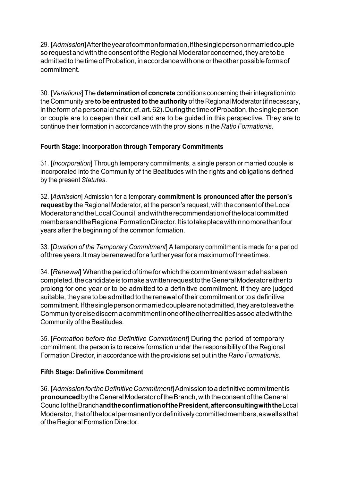29. [*Admission*]Aftertheyearofcommonformation,ifthesinglepersonormarriedcouple so request and with the consent of the Regional Moderator concerned, they are to be admitted to the time of Probation, in accordance with one or the other possible forms of commitment.

30. [*Variations*] The **determination of concrete** conditions concerning their integration into the Community are **to be entrusted to the authority** of the Regional Moderator(if necessary, in the form of a personal charter, cf. art. 62). During the time of Probation, the single person or couple are to deepen their call and are to be guided in this perspective. They are to continue their formation in accordance with the provisions in the *Ratio Formationis*.

## **Fourth Stage: Incorporation through Temporary Commitments**

31. [*Incorporation*] Through temporary commitments, a single person or married couple is incorporated into the Community of the Beatitudes with the rights and obligations defined by the present *Statutes*.

32. [*Admission*] Admission for a temporary **commitment is pronounced after the person's request by** the Regional Moderator, at the person's request, with the consent of the Local ModeratorandtheLocalCouncil,andwiththerecommendationofthelocalcommitted membersandtheRegionalFormationDirector.Itistotakeplacewithinnomorethanfour years after the beginning of the common formation.

33. [*Duration of the Temporary Commitment*] A temporary commitment is made for a period ofthreeyears.Itmayberenewedforafurtheryearforamaximumofthreetimes.

34. [*Renewal*] When the period of time for which the commitment was made has been completed, the candidate is to make a written request to the General Moderator either to prolong for one year or to be admitted to a definitive commitment. If they are judged suitable, they are to be admitted to the renewal of their commitment or to a definitive commitment. If the single person or married couple are not admitted, they are to leave the Communityorelsediscernacommitmentinoneoftheotherrealitiesassociatedwiththe Community of the Beatitudes.

35. [*Formation before the Definitive Commitment*] During the period of temporary commitment, the person is to receive formation under the responsibility of the Regional Formation Director, in accordance with the provisions set out in the *Ratio Formationis*.

## **Fifth Stage: Definitive Commitment**

36. [*AdmissionfortheDefinitiveCommitment*]Admissiontoadefinitivecommitmentis **pronounced** by the General Moderator of the Branch, with the consent of the General CounciloftheBranch**andtheconfirmationofthePresident,afterconsultingwiththe**Local Moderator, that of the local permanently or definitively committed members, as well as that of the Regional Formation Director.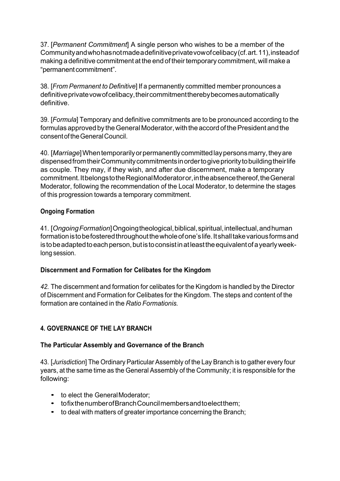37. [*Permanent Commitment*] A single person who wishes to be a member of the Communityandwhohasnotmadeadefinitiveprivatevowofcelibacy(cf.art.11),insteadof making a definitive commitment at the end of their temporary commitment, will make a "permanent commitment".

38. [*From Permanent to Definitive*] If a permanently committed member pronounces a definitive private vow of celibacy, their commitment thereby becomes automatically definitive.

39. [*Formula*] Temporary and definitive commitments are to be pronounced according to the formulas approved by the General Moderator, with the accord of the President and the consentoftheGeneralCouncil.

40. [*Marriage*]Whentemporarilyorpermanentlycommittedlaypersonsmarry,theyare dispensed from their Community commitments in order to give priority to building their life as couple. They may, if they wish, and after due discernment, make a temporary commitment.ItbelongstotheRegionalModeratoror,intheabsencethereof,theGeneral Moderator, following the recommendation of the Local Moderator, to determine the stages of this progression towards a temporary commitment.

## **Ongoing Formation**

41. [*OngoingFormation*]Ongoingtheological,biblical,spiritual,intellectual,andhuman formation is to be fostered throughout the whole of one's life. It shall take various forms and is to be adapted to each person, but is to consist in at least the equivalent of a yearly weeklong session.

## **Discernment and Formation for Celibates for the Kingdom**

*42.* The discernment and formation for celibates for the Kingdom is handled by the Director of Discernment and Formation for Celibates for the Kingdom. The steps and content of the formation are contained in the *Ratio Formationis.*

## **4. GOVERNANCE OF THE LAY BRANCH**

## **The Particular Assembly and Governance of the Branch**

43. [*Jurisdiction*] The Ordinary Particular Assembly of the Lay Branch is to gather every four years, at the same time as the General Assembly of the Community; it is responsible for the following:

- to elect the GeneralModerator:
- tofixthenumberofBranchCouncilmembersandtoelectthem;
- to deal with matters of greater importance concerning the Branch;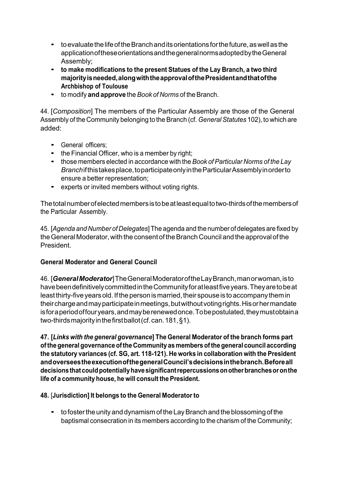- to evaluate the life of the Branch and its orientations for the future, as well as the applicationoftheseorientationsandthegeneralnormsadoptedbytheGeneral Assembly;
- **to make modifications to the present Statues of the Lay Branch, <sup>a</sup> two third majorityisneeded,alongwiththeapprovalofthePresidentandthatofthe Archbishop of Toulouse**
- to modify **and approve** the *Book of Norms* of theBranch.

44. [*Composition*] The members of the Particular Assembly are those of the General Assembly of the Community belonging to the Branch (cf. *General Statutes* 102), to which are added:

- General officers;
- the Financial Officer, who is a member by right;
- those members elected in accordance with the *Book of Particular Norms of the Lay Branchifthistakesplace,toparticipate only in the Particular Assembly in order to* ensure a better representation;
- experts or invited members without voting rights.

Thetotalnumberofelectedmembersistobeatleastequaltotwo-thirdsofthemembersof the Particular Assembly.

45. [*Agenda and Number of Delegates*]The agenda and the number of delegates are fixed by the General Moderator, with the consent of the Branch Council and the approval of the President.

## **General Moderator and General Council**

46. [*GeneralModerator*]TheGeneralModeratoroftheLayBranch,manorwoman,isto havebeendefinitivelycommittedintheCommunityforatleastfiveyears.Theyaretobeat least thirty-five years old. If the person is married, their spouse is to accompany them in theircharge and may participate in meetings, but without voting rights. His or her mandate isforaperiodoffouryears,andmayberenewedonce.Tobepostulated,theymustobtaina two-thirds majority in the first ballot (cf. can. 181, §1).

**47. [***Links with the general governance***] The General Moderator of the branch forms part ofthe general governance ofthe Community as members ofthe general council according the statutory variances (cf. SG, art. 118-121). He works in collaboration with the President andoverseestheexecutionofthegeneralCouncil'sdecisionsinthebranch.Beforeall decisionsthatcouldpotentiallyhavesignificantrepercussionsonotherbranchesoronthe life of a community house, he will consult the President.**

## **48.** [**Jurisdiction] It belongs to the General Moderator to**

• to foster the unity and dynamism of the Lay Branch and the blossoming of the baptismal consecration in its members according to the charism of the Community;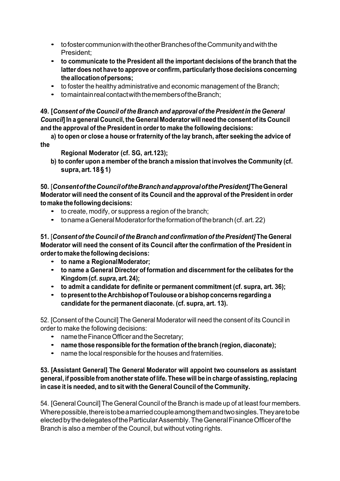- to foster communion with the other Branches of the Community and with the President;
- **to communicate to the President all the important decisions of the branch that the latter does not have to approve or confirm, particularly those decisions concerning theallocationofpersons;**
- to foster the healthy administrative and economic management of the Branch;
- tomaintain real contact with the members of the Branch:

**49. [***Consent of the Council of the Branch and approval of the President in the General Council***<sup>l</sup> In a general Council, the General Moderator will need the consent of its Council and the approval of the President in orderto make the following decisions:**

**a) to open or close a house orfraternity of the lay branch, after seeking the advice of the**

**Regional Moderator (cf. SG, art.123);**

**b) to confer upon a member of the branch a mission that involves the Community (cf. supra,art.18§1)**

**50.** [*ConsentoftheCounciloftheBranchandapprovalofthePresident]***TheGeneral Moderator will need the consent of its Council and the approval of the President in order tomake thefollowingdecisions:**

- to create, modify, or suppress <sup>a</sup> region of the branch;
- tonameaGeneralModeratorfortheformationofthebranch(cf.art.22)

**51.** [*Consent ofthe Council ofthe Branch and confirmation ofthePresident]* **TheGeneral Moderator will need the consent of its Council after the confirmation of the President in orderto make the followingdecisions:**

- **to name a RegionalModerator;**
- **to name <sup>a</sup> General Director of formation and discernment for the celibates for the Kingdom (cf.** *supra***, art. 24);**
- **to admit <sup>a</sup> candidate for definite or permanent commitment (cf. supra, art. 36);**
- **topresenttotheArchbishopofToulouseorabishopconcernsregardinga candidate for the permanent diaconate. (cf. supra, art. 13).**

52. [Consent of the Council] The General Moderator will need the consent of its Council in order to make the following decisions:

- name the Finance Officer and the Secretary;
- **name those responsible forthe formation of the branch (region, diaconate);**
- name the local responsible for the houses and fraternities.

## **53. [Assistant General] The General Moderator will appoint two counselors as assistant general, if possible from another state oflife. These will be in charge of assisting,replacing in case it is needed, and to sit with the General Council of the Community.**

54. [General Council] The General Council of the Branch is made up of at least four members. Wherepossible, there is to be a married couple among them and two singles. They are to be elected by the delegates of the Particular Assembly. The General Finance Officer of the Branch is also a member of the Council, but without voting rights.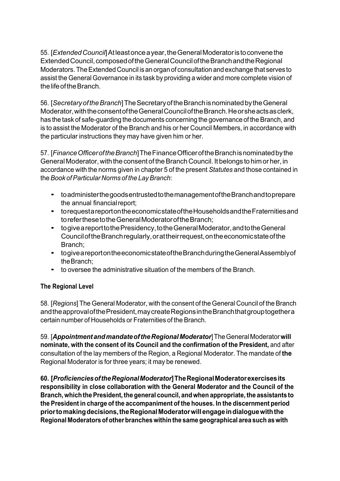55. [*ExtendedCouncil*]Atleastonceayear,theGeneralModeratoristoconvenethe ExtendedCouncil,composedoftheGeneralCounciloftheBranchandtheRegional Moderators.TheExtended Council is an organ of consultation and exchange that serves to assist the General Governance in its task by providing a wider and more complete vision of thelifeoftheBranch.

56. [*SecretaryoftheBranch*]TheSecretaryoftheBranchisnominatedbytheGeneral Moderator, with the consent of the General Council of the Branch. He or she acts as clerk, has the task of safe-guarding the documents concerning the governance of the Branch, and is to assist the Moderator of the Branch and his or her Council Members, in accordance with the particular instructions they may have given him or her.

57. [*FinanceOfficeroftheBranch*]TheFinanceOfficeroftheBranchisnominatedbythe General Moderator, with the consent of the Branch Council. It belongs to him or her, in accordance with the norms given in chapter 5 of the present *Statutes* and those contained in the*Book ofParticular Norms of the LayBranch*:

- toadministerthegoodsentrustedtothemanagementoftheBranchandtoprepare the annual financial report;
- torequestareportontheeconomicstateoftheHouseholdsandtheFraternitiesand toreferthesetotheGeneralModeratoroftheBranch;
- togiveareporttothePresidency,totheGeneralModerator,andtotheGeneral CounciloftheBranchregularly,orattheirrequest,ontheeconomicstateofthe Branch;
- togiveareportontheeconomicstateoftheBranchduringtheGeneralAssemblyof theBranch;
- to oversee the administrative situation of the members of the Branch.

## **The Regional Level**

58. [*Regions*] The General Moderator, with the consent of the General Council of the Branch and the approval of the President, may create Regions in the Branch that group together a certain number of Households or Fraternities of the Branch.

59. [*AppointmentandmandateoftheRegionalModerator*]TheGeneralModerator**will nominate, with the consent of its Council and the confirmation of the President,** and after consultation of the lay members of the Region, a Regional Moderator. The mandate of **the**  Regional Moderator is for three years; it may be renewed.

**60. [***ProficienciesoftheRegionalModerator***]TheRegionalModeratorexercisesits responsibility in close collaboration with the General Moderator and the Council of the Branch,whichthePresident,the general council, andwhen appropriate,the assistants to the President in charge of the accompaniment of the houses. In the discernment period priortomakingdecisions,theRegionalModeratorwillengageindialoguewiththe Regional Moderatorsofotherbranches withinthe same geographical area such aswith**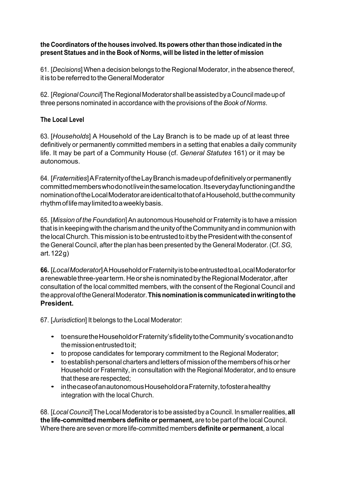## **the Coordinators of the houses involved. Its powers otherthan those indicated in the present Statues and in the Book of Norms, will be listed in the letter of mission**

61. [*Decisions*] When a decision belongs to the Regional Moderator, in the absence thereof, it is to be referred to the General Moderator

62. [Regional Council] The Regional Moderator shall be assisted by a Council made up of three persons nominated in accordance with the provisions of the *Book of Norms*.

## **The Local Level**

63. [*Households*] A Household of the Lay Branch is to be made up of at least three definitively or permanently committed members in a setting that enables a daily community life. It may be part of a Community House (cf. *General Statutes* 161) or it may be autonomous.

64. [*Fraternities*]AFraternityoftheLayBranchismadeupofdefinitivelyorpermanently committedmemberswhodonotliveinthesamelocation.Itseverydayfunctioningandthe nomination of the Local Moderator are identical to that of a Household, but the community rhythm of life may limited to a weekly basis.

65. [*Mission of the Foundation*] An autonomous Household or Fraternity is to have a mission thatisinkeepingwiththecharismandtheunityoftheCommunityandincommunionwith the local Church. This mission is to be entrusted to it by the President with the consent of the General Council, after the plan has been presented by the General Moderator. (Cf. *SG,*  art.122g)

**66.** [*LocalModerator*]AHouseholdorFraternityistobeentrustedtoaLocalModeratorfor a renewable three-year term. He or she is nominated by the Regional Moderator, after consultation of the local committed members, with the consent of the Regional Council and theapprovaloftheGeneralModerator.**Thisnominationiscommunicatedinwritingtothe President.**

67. [*Jurisdiction*] It belongs to the Local Moderator:

- toensuretheHouseholdorFraternity'sfidelitytotheCommunity'svocationandto the mission entrusted to it;
- to propose candidates for temporary commitment to the Regional Moderator;
- toestablishpersonal chartersandlettersofmissionofthemembersofhisorher Household or Fraternity, in consultation with the Regional Moderator, and to ensure that these are respected;
- inthecaseofanautonomousHouseholdoraFraternity,tofosterahealthy integration with the local Church.

68. [*LocalCouncil*]The Local Moderatoris to be assistedby aCouncil. Insmallerrealities,**all the life-committed members definite or permanent,** are to be part of the local Council. Where there are seven or more life-committed members **definite or permanent**, a local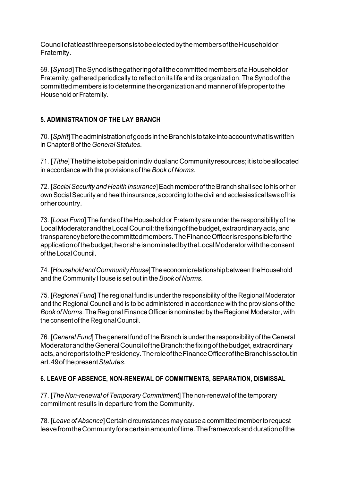CouncilofatleastthreepersonsistobeelectedbythemembersoftheHouseholdor Fraternity.

69. [*Synod*]TheSynodisthegatheringofallthecommittedmembersofaHouseholdor Fraternity, gathered periodically to reflect on its life and its organization. The Synod of the committed members is to determine the organization and manner of life proper to the Household or Fraternity.

## **5. ADMINISTRATION OF THE LAY BRANCH**

70. [*Spirit*]TheadministrationofgoodsintheBranchistotakeintoaccountwhatiswritten in Chapter 8 of the *GeneralStatutes*.

71. [*Tithe*]ThetitheistobepaidonindividualandCommunityresources;itistobeallocated in accordance with the provisions of the *Book of Norms*.

72. [*SocialSecurity and Health Insurance*]Each member of theBranch shall see to his or her own Social Security and health insurance, according to the civil and ecclesiastical laws of his orhercountry.

73. [*Local Fund*] The funds of the Household or Fraternity are under the responsibility of the Local Moderator and the Local Council: the fixing of the budget, extraordinary acts, and transparencybeforethecommittedmembers.TheFinanceOfficerisresponsibleforthe application of the budget; he or she is nominated by the Local Moderator with the consent oftheLocalCouncil.

74. [*HouseholdandCommunityHouse*]TheeconomicrelationshipbetweentheHousehold and the Community House is set out in the *Book of Norms*.

75. [*Regional Fund*] The regional fund is under the responsibility of the Regional Moderator and the Regional Council and is to be administered in accordance with the provisions of the *Book of Norms*. The Regional Finance Officer is nominated by the Regional Moderator, with the consent of the Regional Council.

76. [*General Fund*] The general fund of the Branch is under the responsibility of the General Moderator and the General Council of the Branch: the fixing of the budget, extraordinary acts,andreportstothePresidency.TheroleoftheFinanceOfficeroftheBranchissetoutin art.49ofthepresent*Statutes*.

## **6. LEAVE OF ABSENCE, NON-RENEWAL OF COMMITMENTS, SEPARATION, DISMISSAL**

77. [*The Non-renewal of Temporary Commitment*] The non-renewal of the temporary commitment results in departure from the Community.

78. [*Leave ofAbsence*] Certain circumstances may cause a committed memberto request leavefromtheCommuntyforacertainamountoftime.Theframeworkanddurationofthe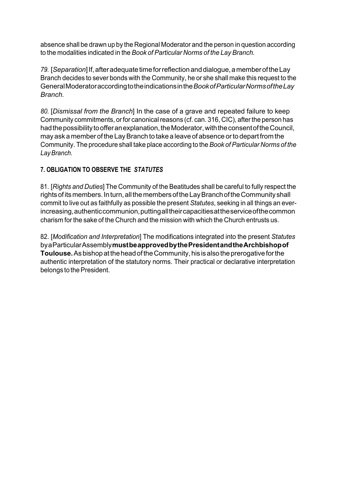absence shall be drawn up by the Regional Moderator and the person in question according to the modalities indicated in the *Book of Particular Norms of the Lay Branch.*

79. [Separation] If, after adequate time for reflection and dialogue, a member of the Lay Branch decides to sever bonds with the Community, he or she shall make this request to the GeneralModeratoraccordingtotheindicationsinthe*BookofParticularNormsoftheLay Branch.*

*80.* [*Dismissal from the Branch*] In the case of a grave and repeated failure to keep Community commitments, or for canonical reasons (cf. can. 316, CIC), after the person has had the possibility to offer an explanation, the Moderator, with the consent of the Council, may ask a member of the LayBranch to take a leave of absence orto depart from the Community. The procedure shall take place according to the *Book of Particular Norms of the LayBranch.*

## **7. OBLIGATION TO OBSERVE THE** *STATUTES*

81. [*Rights and Duties*] The Community of the Beatitudes shall be careful to fully respect the rights of its members. In turn, all the members of the Lay Branch of the Community shall commit to live out as faithfully as possible the present *Statutes*, seeking in all things an everincreasing, authentic communion, putting all their capacities at the service of the common charism for the sake of the Church and the mission with which the Church entrusts us.

82. [*Modification and Interpretation*] The modifications integrated into the present *Statutes*  byaParticularAssembly**mustbeapprovedbythePresidentandtheArchbishopof Toulouse.** As bishop at the head of the Community, his is also the prerogative for the authentic interpretation of the statutory norms. Their practical or declarative interpretation belongs to the President.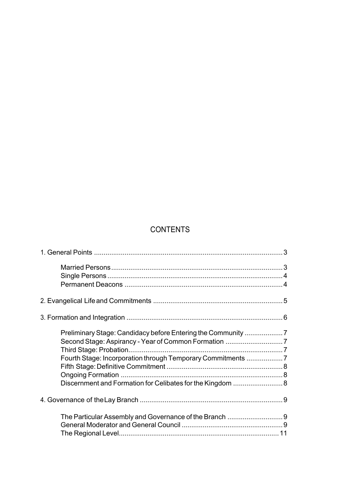## **CONTENTS**

| Fourth Stage: Incorporation through Temporary Commitments 7 |  |
|-------------------------------------------------------------|--|
|                                                             |  |
|                                                             |  |